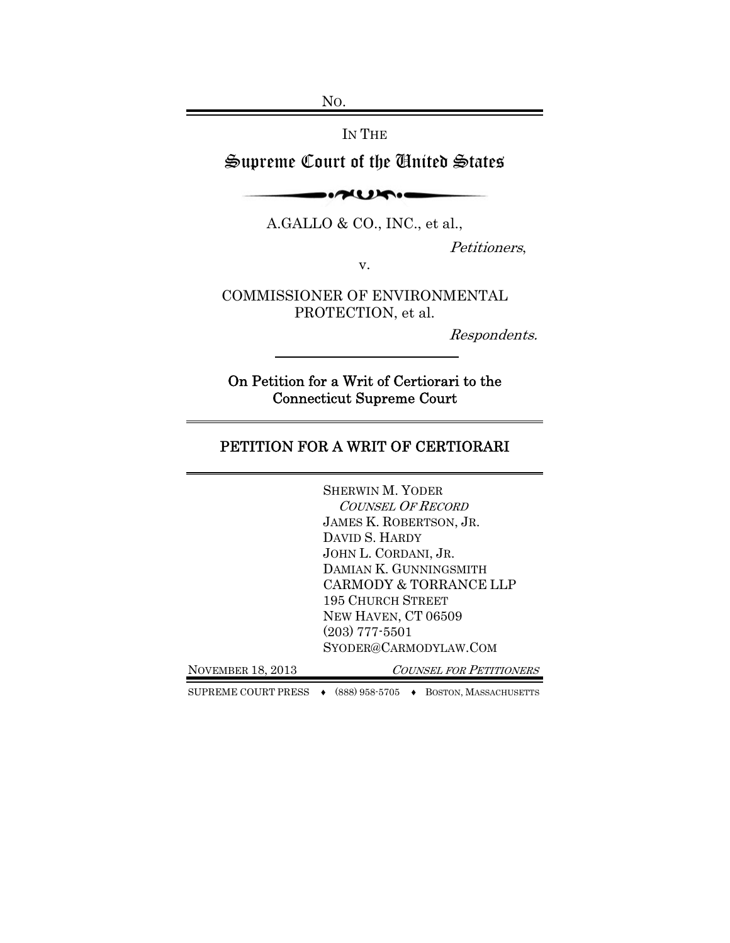NO.

IN THE

# Supreme Court of the United States

 $-1$ 

A.GALLO & CO., INC., et al.,

Petitioners,

v.

COMMISSIONER OF ENVIRONMENTAL PROTECTION, et al.

Respondents.

On Petition for a Writ of Certiorari to the Connecticut Supreme Court

## PETITION FOR A WRIT OF CERTIORARI

|                   | <b>SHERWIN M. YODER</b>        |
|-------------------|--------------------------------|
|                   | <b>COUNSEL OF RECORD</b>       |
|                   | JAMES K. ROBERTSON, JR.        |
|                   | DAVID S. HARDY                 |
|                   | JOHN L. CORDANI, JR.           |
|                   | DAMIAN K. GUNNINGSMITH         |
|                   | CARMODY & TORRANCE LLP         |
|                   | <b>195 CHURCH STREET</b>       |
|                   | NEW HAVEN, CT 06509            |
|                   | $(203)$ 777-5501               |
|                   | SYODER@CARMODYLAW.COM          |
| NOVEMBER 18, 2013 | <b>COUNSEL FOR PETITIONERS</b> |

SUPREME COURT PRESS ♦ (888) 958-5705 ♦ BOSTON, MASSACHUSETTS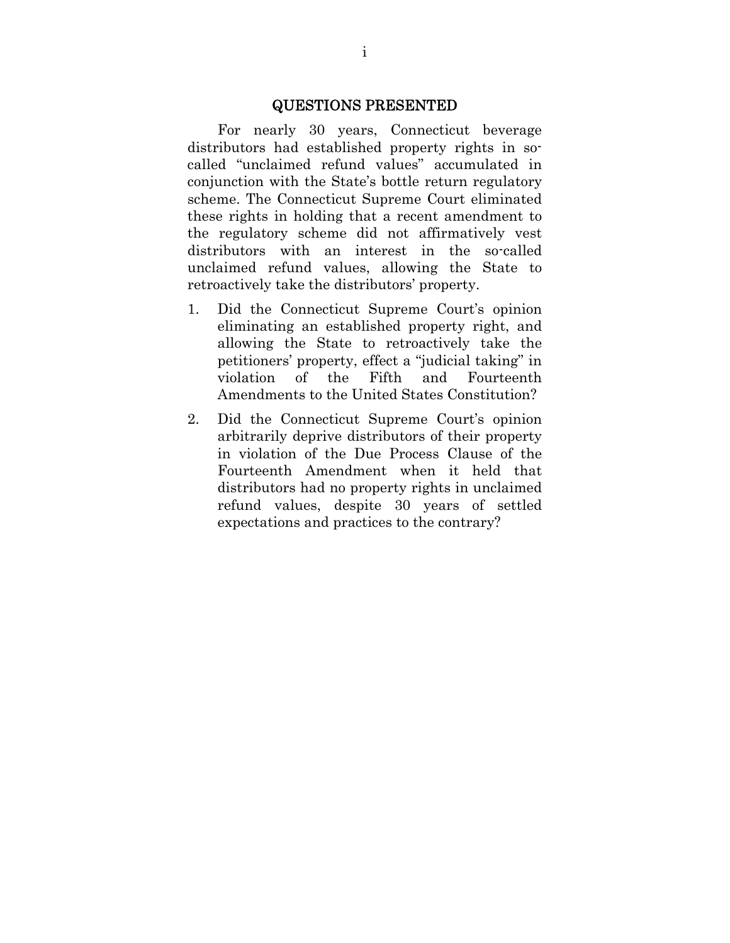#### QUESTIONS PRESENTED

For nearly 30 years, Connecticut beverage distributors had established property rights in socalled "unclaimed refund values" accumulated in conjunction with the State's bottle return regulatory scheme. The Connecticut Supreme Court eliminated these rights in holding that a recent amendment to the regulatory scheme did not affirmatively vest distributors with an interest in the so-called unclaimed refund values, allowing the State to retroactively take the distributors' property.

- 1. Did the Connecticut Supreme Court's opinion eliminating an established property right, and allowing the State to retroactively take the petitioners' property, effect a "judicial taking" in violation of the Fifth and Fourteenth Amendments to the United States Constitution?
- 2. Did the Connecticut Supreme Court's opinion arbitrarily deprive distributors of their property in violation of the Due Process Clause of the Fourteenth Amendment when it held that distributors had no property rights in unclaimed refund values, despite 30 years of settled expectations and practices to the contrary?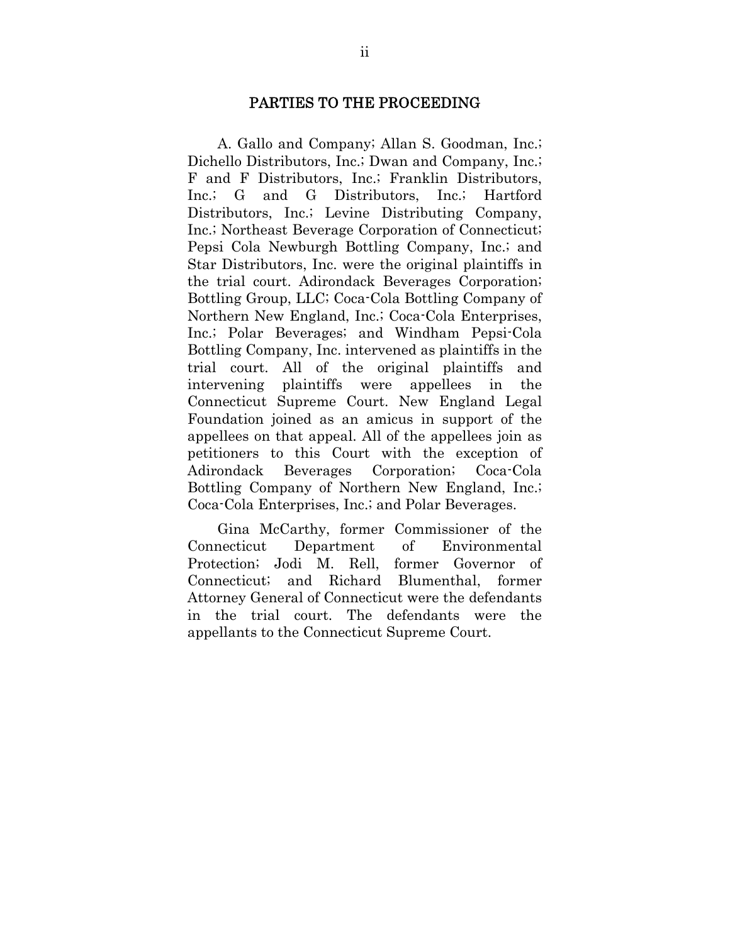#### PARTIES TO THE PROCEEDING

A. Gallo and Company; Allan S. Goodman, Inc.; Dichello Distributors, Inc.; Dwan and Company, Inc.; F and F Distributors, Inc.; Franklin Distributors, Inc.; G and G Distributors, Inc.; Hartford Distributors, Inc.; Levine Distributing Company, Inc.; Northeast Beverage Corporation of Connecticut; Pepsi Cola Newburgh Bottling Company, Inc.; and Star Distributors, Inc. were the original plaintiffs in the trial court. Adirondack Beverages Corporation; Bottling Group, LLC; Coca-Cola Bottling Company of Northern New England, Inc.; Coca-Cola Enterprises, Inc.; Polar Beverages; and Windham Pepsi-Cola Bottling Company, Inc. intervened as plaintiffs in the trial court. All of the original plaintiffs and intervening plaintiffs were appellees in the Connecticut Supreme Court. New England Legal Foundation joined as an amicus in support of the appellees on that appeal. All of the appellees join as petitioners to this Court with the exception of Adirondack Beverages Corporation; Coca-Cola Bottling Company of Northern New England, Inc.; Coca-Cola Enterprises, Inc.; and Polar Beverages.

Gina McCarthy, former Commissioner of the Connecticut Department of Environmental Protection; Jodi M. Rell, former Governor of Connecticut; and Richard Blumenthal, former Attorney General of Connecticut were the defendants in the trial court. The defendants were the appellants to the Connecticut Supreme Court.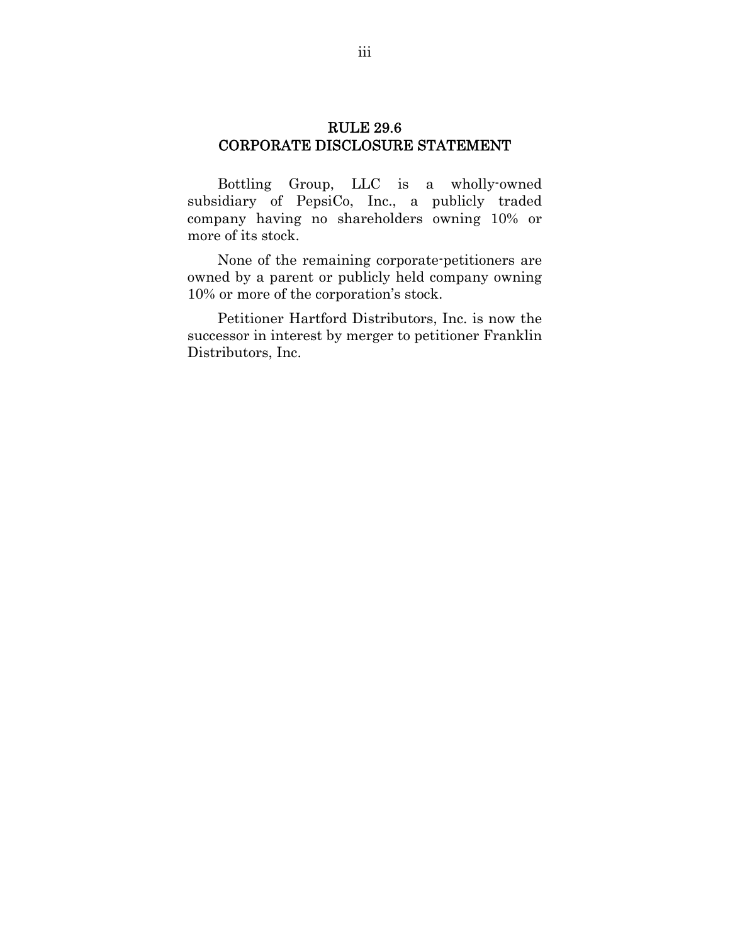### RULE 29.6 CORPORATE DISCLOSURE STATEMENT

Bottling Group, LLC is a wholly-owned subsidiary of PepsiCo, Inc., a publicly traded company having no shareholders owning 10% or more of its stock.

None of the remaining corporate-petitioners are owned by a parent or publicly held company owning 10% or more of the corporation's stock.

Petitioner Hartford Distributors, Inc. is now the successor in interest by merger to petitioner Franklin Distributors, Inc.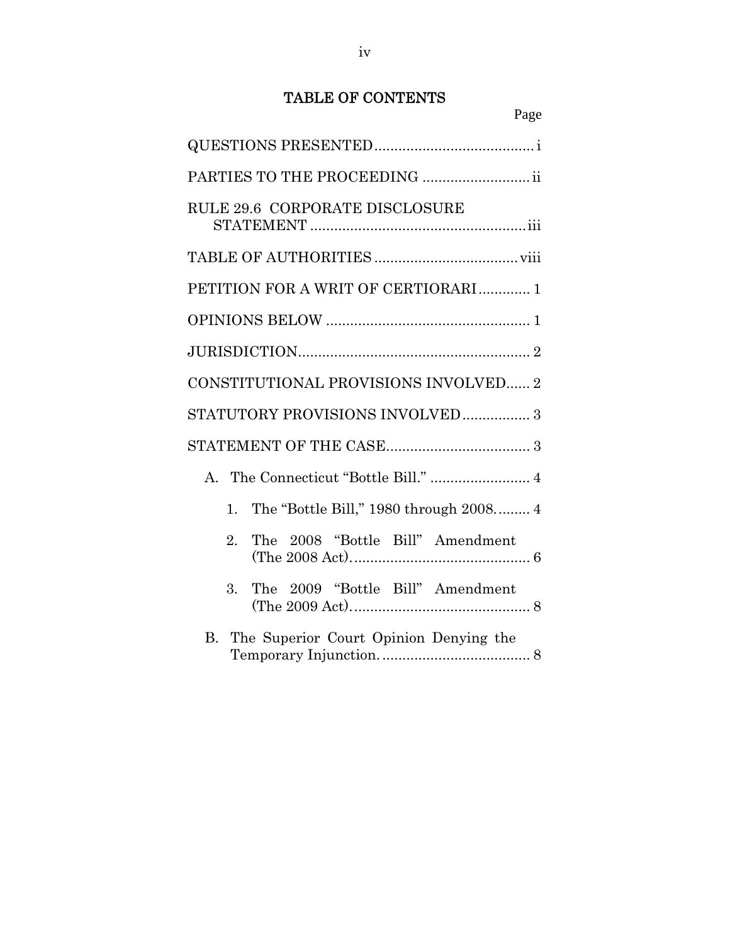## TABLE OF CONTENTS

| Page                                              |
|---------------------------------------------------|
|                                                   |
| PARTIES TO THE PROCEEDING  ii                     |
| RULE 29.6 CORPORATE DISCLOSURE                    |
|                                                   |
| PETITION FOR A WRIT OF CERTIORARI  1              |
|                                                   |
|                                                   |
| CONSTITUTIONAL PROVISIONS INVOLVED 2              |
| STATUTORY PROVISIONS INVOLVED 3                   |
|                                                   |
|                                                   |
| The "Bottle Bill," 1980 through 2008 4<br>$1_{-}$ |
| The 2008 "Bottle Bill" Amendment<br>2.            |
| The 2009 "Bottle Bill" Amendment<br>3.            |
| B. The Superior Court Opinion Denying the         |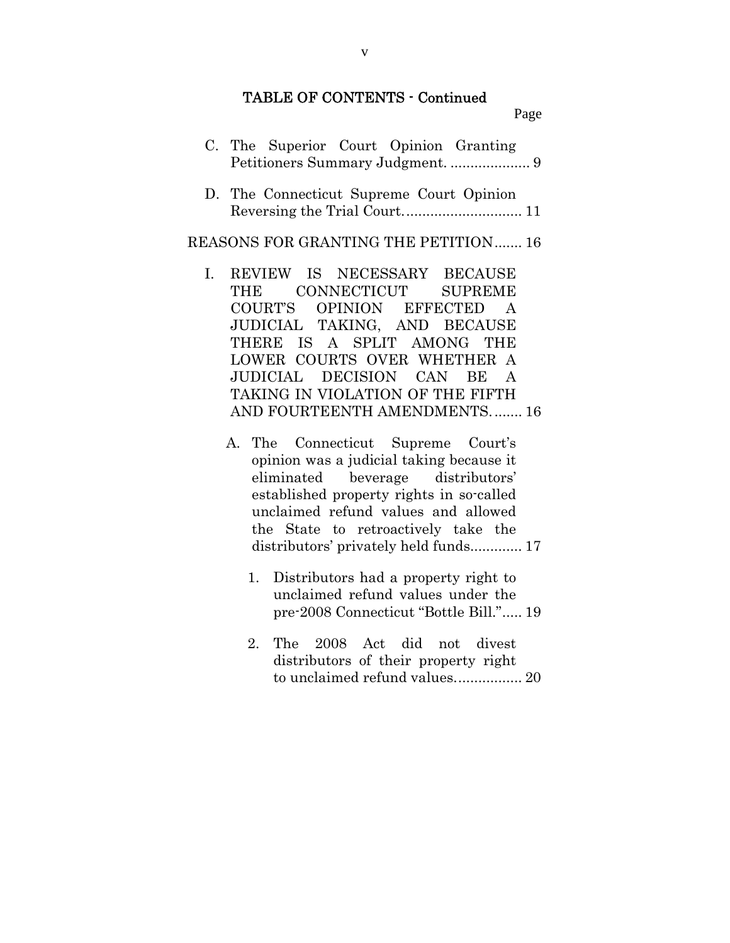#### TABLE OF CONTENTS - Continued

Page

|  | C. The Superior Court Opinion Granting |  |  |
|--|----------------------------------------|--|--|
|  |                                        |  |  |

D. The Connecticut Supreme Court Opinion Reversing the Trial Court. ............................. 11

#### REASONS FOR GRANTING THE PETITION ....... 16

- I. REVIEW IS NECESSARY BECAUSE THE CONNECTICUT SUPREME COURT'S OPINION EFFECTED A JUDICIAL TAKING, AND BECAUSE THERE IS A SPLIT AMONG THE LOWER COURTS OVER WHETHER A JUDICIAL DECISION CAN BE A TAKING IN VIOLATION OF THE FIFTH AND FOURTEENTH AMENDMENTS. ....... 16
	- A. The Connecticut Supreme Court's opinion was a judicial taking because it eliminated beverage distributors' established property rights in so-called unclaimed refund values and allowed the State to retroactively take the distributors' privately held funds.............. 17
		- 1. Distributors had a property right to unclaimed refund values under the pre-2008 Connecticut "Bottle Bill." ..... 19
		- 2. The 2008 Act did not divest distributors of their property right to unclaimed refund values. ................ 20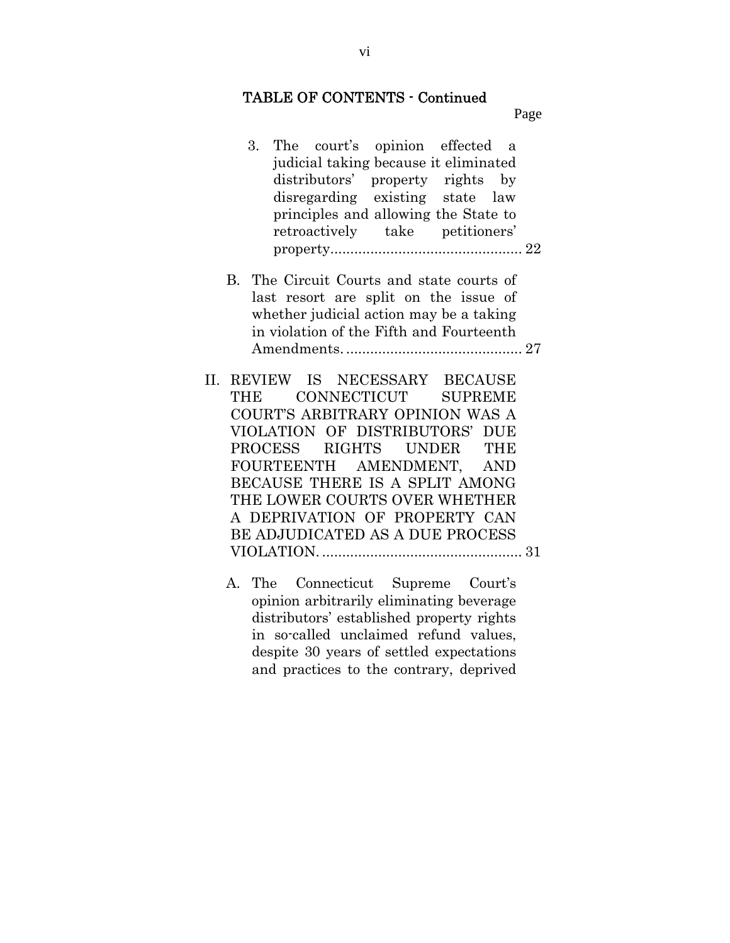#### TABLE OF CONTENTS - Continued

Page

- 3. The court's opinion effected a judicial taking because it eliminated distributors' property rights by disregarding existing state law principles and allowing the State to retroactively take petitioners' property................................................ 22 B. The Circuit Courts and state courts of last resort are split on the issue of whether judicial action may be a taking in violation of the Fifth and Fourteenth Amendments. ............................................ 27 II. REVIEW IS NECESSARY BECAUSE THE CONNECTICUT SUPREME COURT'S ARBITRARY OPINION WAS A VIOLATION OF DISTRIBUTORS' DUE PROCESS RIGHTS UNDER THE
	- FOURTEENTH AMENDMENT, AND BECAUSE THERE IS A SPLIT AMONG THE LOWER COURTS OVER WHETHER A DEPRIVATION OF PROPERTY CAN BE ADJUDICATED AS A DUE PROCESS VIOLATION. .................................................. 31
		- A. The Connecticut Supreme Court's opinion arbitrarily eliminating beverage distributors' established property rights in so-called unclaimed refund values, despite 30 years of settled expectations and practices to the contrary, deprived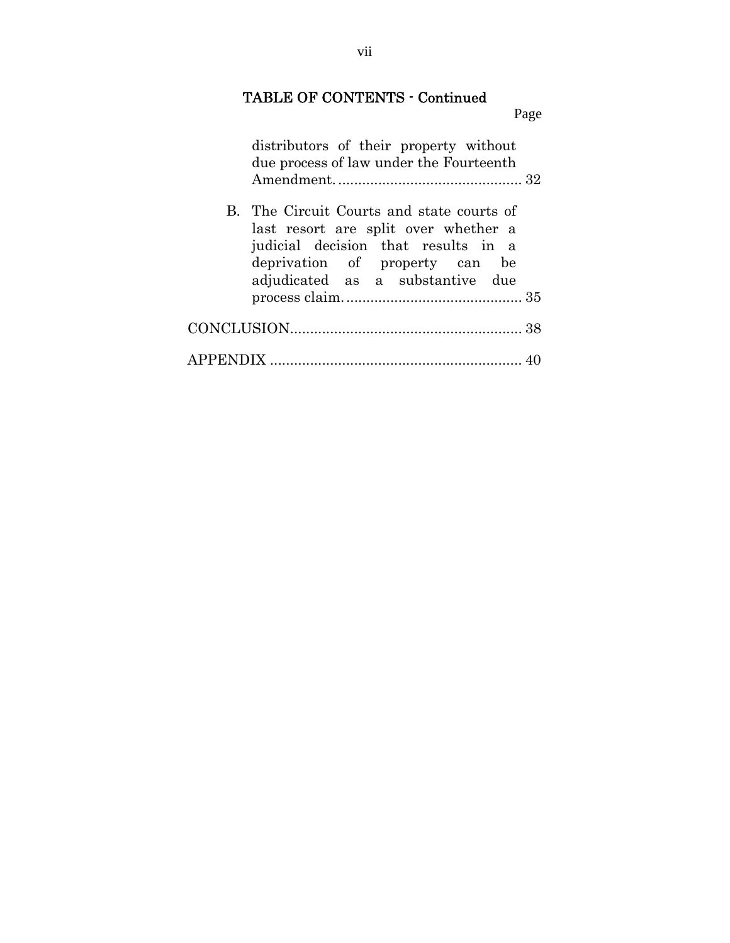## TABLE OF CONTENTS - Continued

Page distributors of their property without due process of law under the Fourteenth Amendment. .............................................. 32 B. The Circuit Courts and state courts of last resort are split over whether a judicial decision that results in a deprivation of property can be adjudicated as a substantive due process claim. ............................................ 35 CONCLUSION .......................................................... 38 APPENDIX ............................................................... 40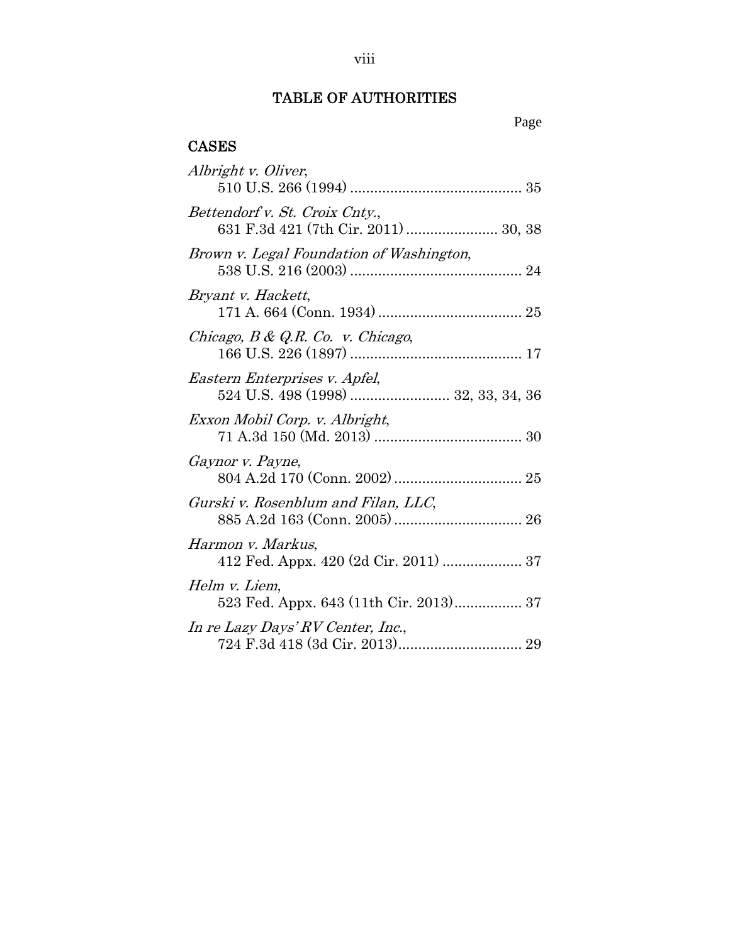## TABLE OF AUTHORITIES

## Page

## CASES

| Albright v. Oliver,                                                    |
|------------------------------------------------------------------------|
| Bettendorf v. St. Croix Cnty.,<br>631 F.3d 421 (7th Cir. 2011)  30, 38 |
| Brown v. Legal Foundation of Washington,                               |
| Bryant v. Hackett,                                                     |
| Chicago, $B \& Q.R.$ Co. v. Chicago,                                   |
| Eastern Enterprises v. Apfel,<br>524 U.S. 498 (1998)  32, 33, 34, 36   |
| Exxon Mobil Corp. v. Albright,                                         |
| Gaynor v. Payne,                                                       |
| Gurski v. Rosenblum and Filan, LLC,                                    |
| Harmon v. Markus,<br>412 Fed. Appx. 420 (2d Cir. 2011)  37             |
| Helm v. Liem,                                                          |
| In re Lazy Days' RV Center, Inc.,                                      |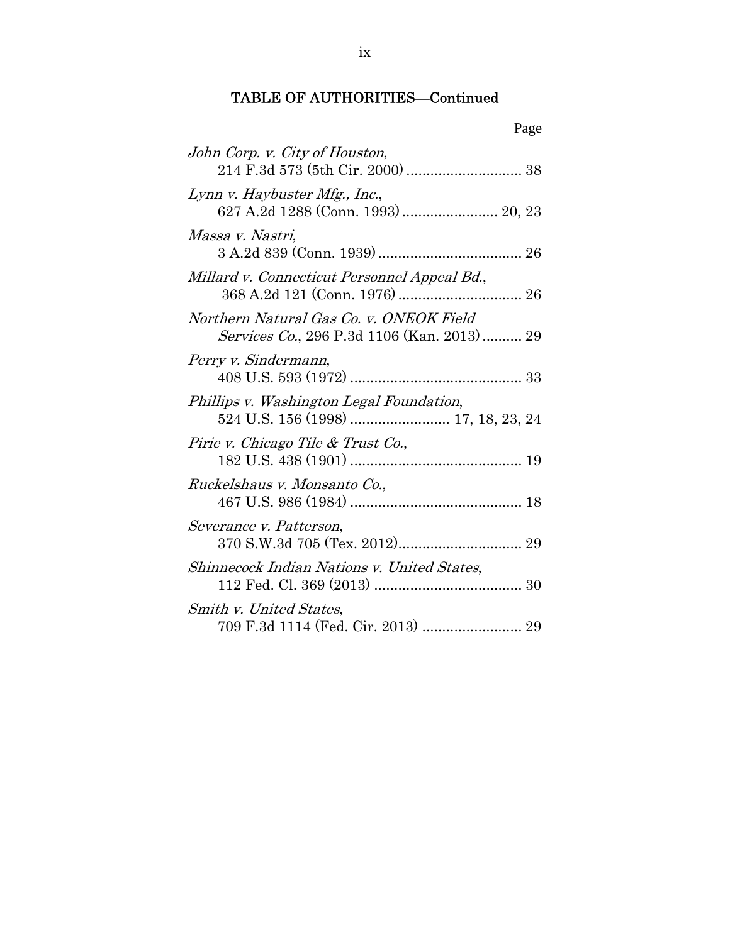## TABLE OF AUTHORITIES—Continued

| Page                                                                                  |
|---------------------------------------------------------------------------------------|
| John Corp. v. City of Houston,                                                        |
| Lynn v. Haybuster Mfg., Inc.,<br>627 A.2d 1288 (Conn. 1993)  20, 23                   |
| Massa v. Nastri,                                                                      |
| Millard v. Connecticut Personnel Appeal Bd.,                                          |
| Northern Natural Gas Co. v. ONEOK Field<br>Services Co., 296 P.3d 1106 (Kan. 2013) 29 |
| Perry v. Sindermann,                                                                  |
| Phillips v. Washington Legal Foundation,<br>524 U.S. 156 (1998)  17, 18, 23, 24       |
| Pirie v. Chicago Tile & Trust Co.,                                                    |
| Ruckelshaus v. Monsanto Co.,                                                          |
| Severance v. Patterson,                                                               |
| Shinnecock Indian Nations v. United States,                                           |
| Smith v. United States,<br>709 F.3d 1114 (Fed. Cir. 2013)  29                         |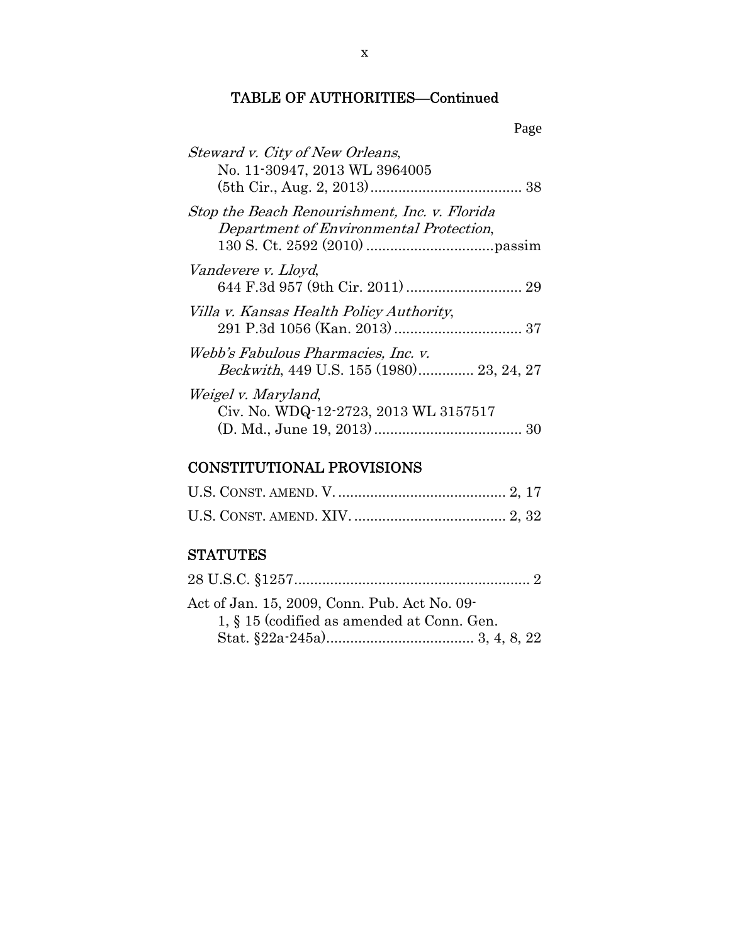## TABLE OF AUTHORITIES—Continued

|                                                                                          | Page |
|------------------------------------------------------------------------------------------|------|
| Steward v. City of New Orleans,<br>No. 11-30947, 2013 WL 3964005                         |      |
| Stop the Beach Renourishment, Inc. v. Florida<br>Department of Environmental Protection, |      |
| Vandevere v. Lloyd,                                                                      |      |
| Villa v. Kansas Health Policy Authority,                                                 |      |
| Webb's Fabulous Pharmacies, Inc. v.<br>Beckwith, 449 U.S. 155 (1980) 23, 24, 27          |      |
| Weigel v. Maryland,<br>Civ. No. WDQ-12-2723, 2013 WL 3157517                             |      |

## CONSTITUTIONAL PROVISIONS

## **STATUTES**

| Act of Jan. 15, 2009, Conn. Pub. Act No. 09- |
|----------------------------------------------|
| 1, § 15 (codified as amended at Conn. Gen.   |
|                                              |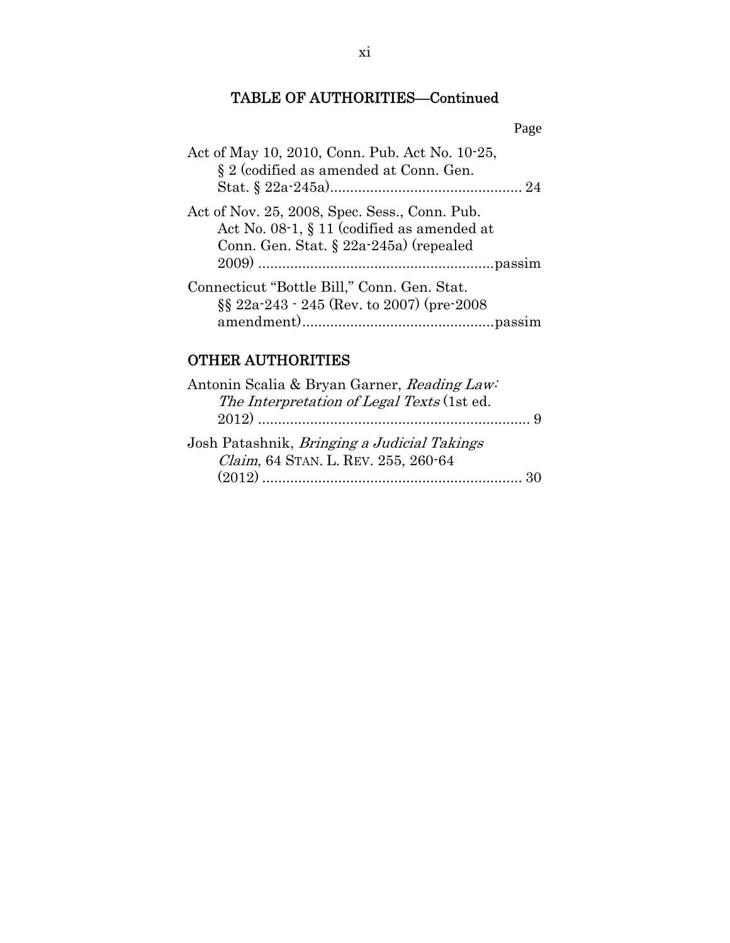## TABLE OF AUTHORITIES—Continued

| ۰, |
|----|
|----|

| Act of May 10, 2010, Conn. Pub. Act No. 10-25,<br>§ 2 (codified as amended at Conn. Gen.                                                 |
|------------------------------------------------------------------------------------------------------------------------------------------|
| Act of Nov. 25, 2008, Spec. Sess., Conn. Pub.<br>Act No. 08-1, § 11 (codified as amended at<br>Conn. Gen. Stat. $\S$ 22a-245a) (repealed |
|                                                                                                                                          |
| Connecticut "Bottle Bill," Conn. Gen. Stat.<br>$\S$ 22a <sup>-243</sup> - 245 (Rev. to 2007) (pre-2008)                                  |
|                                                                                                                                          |

## OTHER AUTHORITIES

| Antonin Scalia & Bryan Garner, Reading Law:        |  |
|----------------------------------------------------|--|
| The Interpretation of Legal Texts (1st ed.         |  |
|                                                    |  |
| Josh Patashnik, <i>Bringing a Judicial Takings</i> |  |
| Claim, 64 STAN. L. REV. 255, 260-64                |  |
|                                                    |  |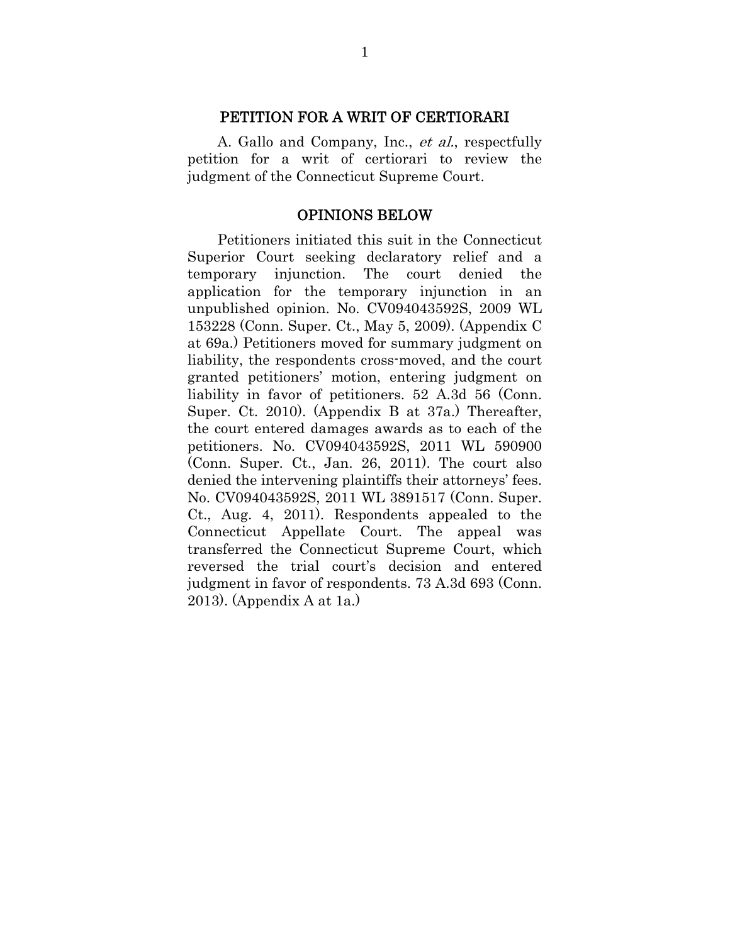#### PETITION FOR A WRIT OF CERTIORARI

A. Gallo and Company, Inc., et al., respectfully petition for a writ of certiorari to review the judgment of the Connecticut Supreme Court.

#### OPINIONS BELOW

Petitioners initiated this suit in the Connecticut Superior Court seeking declaratory relief and a temporary injunction. The court denied the application for the temporary injunction in an unpublished opinion. No. CV094043592S, 2009 WL 153228 (Conn. Super. Ct., May 5, 2009). (Appendix C at 69a.) Petitioners moved for summary judgment on liability, the respondents cross-moved, and the court granted petitioners' motion, entering judgment on liability in favor of petitioners. 52 A.3d 56 (Conn. Super. Ct. 2010). (Appendix B at 37a.) Thereafter, the court entered damages awards as to each of the petitioners. No. CV094043592S, 2011 WL 590900 (Conn. Super. Ct., Jan. 26, 2011). The court also denied the intervening plaintiffs their attorneys' fees. No. CV094043592S, 2011 WL 3891517 (Conn. Super. Ct., Aug. 4, 2011). Respondents appealed to the Connecticut Appellate Court. The appeal was transferred the Connecticut Supreme Court, which reversed the trial court's decision and entered judgment in favor of respondents. 73 A.3d 693 (Conn. 2013). (Appendix A at 1a.)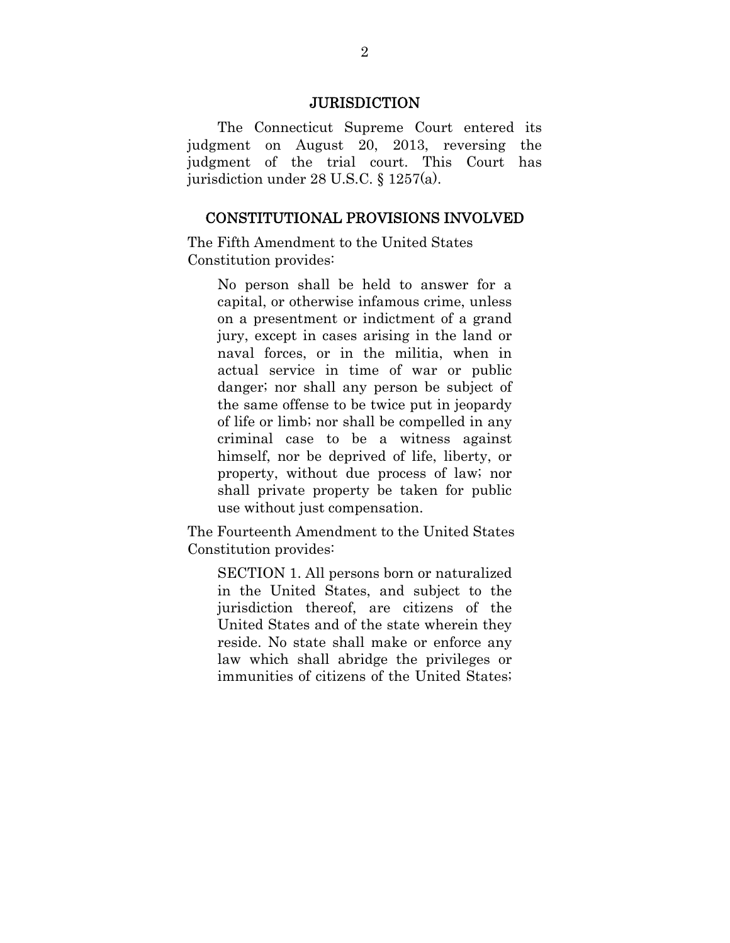#### **JURISDICTION**

The Connecticut Supreme Court entered its judgment on August 20, 2013, reversing the judgment of the trial court. This Court has jurisdiction under 28 U.S.C. § 1257(a).

#### CONSTITUTIONAL PROVISIONS INVOLVED

The Fifth Amendment to the United States Constitution provides:

> No person shall be held to answer for a capital, or otherwise infamous crime, unless on a presentment or indictment of a grand jury, except in cases arising in the land or naval forces, or in the militia, when in actual service in time of war or public danger; nor shall any person be subject of the same offense to be twice put in jeopardy of life or limb; nor shall be compelled in any criminal case to be a witness against himself, nor be deprived of life, liberty, or property, without due process of law; nor shall private property be taken for public use without just compensation.

The Fourteenth Amendment to the United States Constitution provides:

SECTION 1. All persons born or naturalized in the United States, and subject to the jurisdiction thereof, are citizens of the United States and of the state wherein they reside. No state shall make or enforce any law which shall abridge the privileges or immunities of citizens of the United States;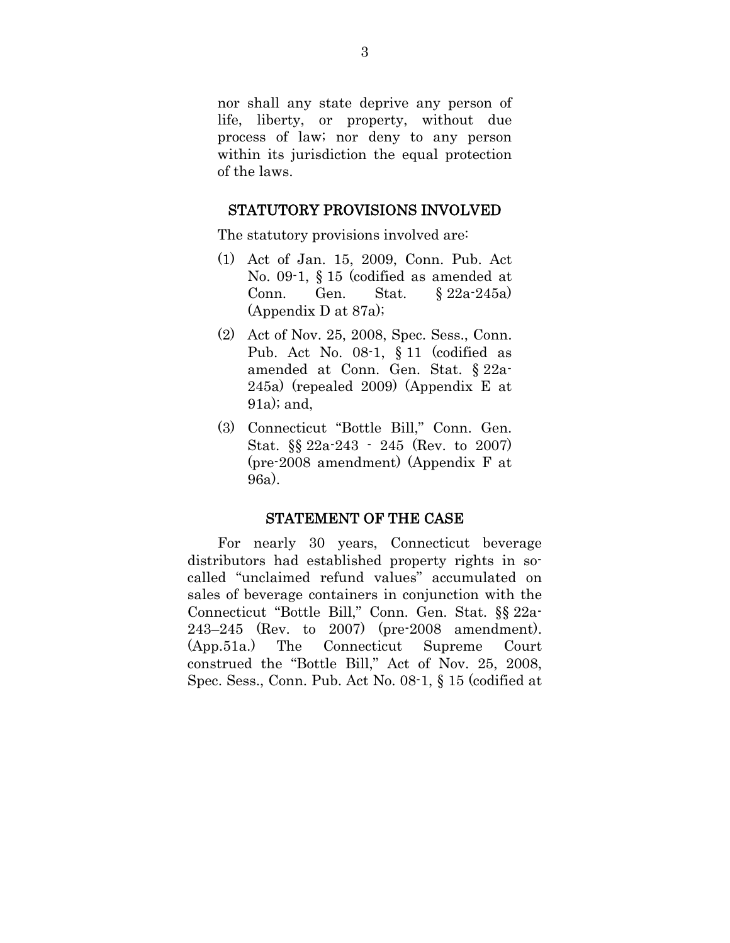nor shall any state deprive any person of life, liberty, or property, without due process of law; nor deny to any person within its jurisdiction the equal protection of the laws.

#### STATUTORY PROVISIONS INVOLVED

The statutory provisions involved are:

- (1) Act of Jan. 15, 2009, Conn. Pub. Act No. 09-1, § 15 (codified as amended at Conn. Gen. Stat. § 22a-245a) (Appendix D at 87a);
- (2) Act of Nov. 25, 2008, Spec. Sess., Conn. Pub. Act No. 08-1, § 11 (codified as amended at Conn. Gen. Stat. § 22a-245a) (repealed 2009) (Appendix E at 91a); and,
- (3) Connecticut "Bottle Bill," Conn. Gen. Stat. §§ 22a-243 - 245 (Rev. to 2007) (pre-2008 amendment) (Appendix F at 96a).

#### STATEMENT OF THE CASE

For nearly 30 years, Connecticut beverage distributors had established property rights in socalled "unclaimed refund values" accumulated on sales of beverage containers in conjunction with the Connecticut "Bottle Bill," Conn. Gen. Stat. §§ 22a-243–245 (Rev. to 2007) (pre-2008 amendment). (App.51a.) The Connecticut Supreme Court construed the "Bottle Bill," Act of Nov. 25, 2008, Spec. Sess., Conn. Pub. Act No. 08-1, § 15 (codified at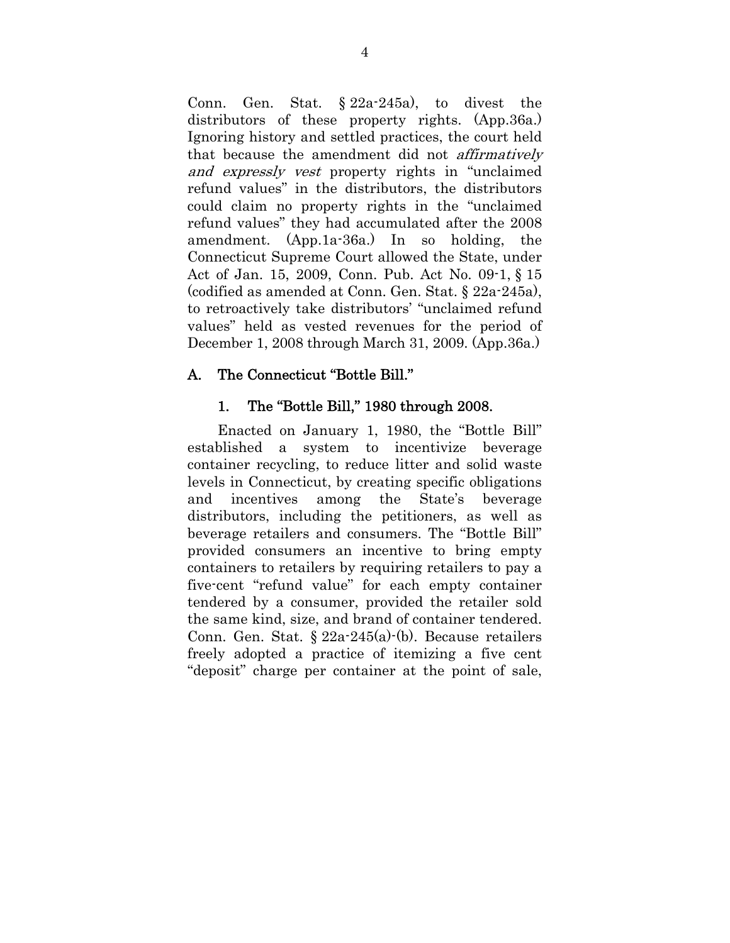Conn. Gen. Stat. § 22a-245a), to divest the distributors of these property rights. (App.36a.) Ignoring history and settled practices, the court held that because the amendment did not affirmatively and expressly vest property rights in "unclaimed refund values" in the distributors, the distributors could claim no property rights in the "unclaimed refund values" they had accumulated after the 2008 amendment. (App.1a-36a.) In so holding, the Connecticut Supreme Court allowed the State, under Act of Jan. 15, 2009, Conn. Pub. Act No. 09-1, § 15 (codified as amended at Conn. Gen. Stat. § 22a-245a), to retroactively take distributors' "unclaimed refund values" held as vested revenues for the period of December 1, 2008 through March 31, 2009. (App.36a.)

### A. The Connecticut "Bottle Bill."

### 1. The "Bottle Bill," 1980 through 2008.

Enacted on January 1, 1980, the "Bottle Bill" established a system to incentivize beverage container recycling, to reduce litter and solid waste levels in Connecticut, by creating specific obligations and incentives among the State's beverage distributors, including the petitioners, as well as beverage retailers and consumers. The "Bottle Bill" provided consumers an incentive to bring empty containers to retailers by requiring retailers to pay a five-cent "refund value" for each empty container tendered by a consumer, provided the retailer sold the same kind, size, and brand of container tendered. Conn. Gen. Stat. § 22a-245(a)-(b). Because retailers freely adopted a practice of itemizing a five cent "deposit" charge per container at the point of sale,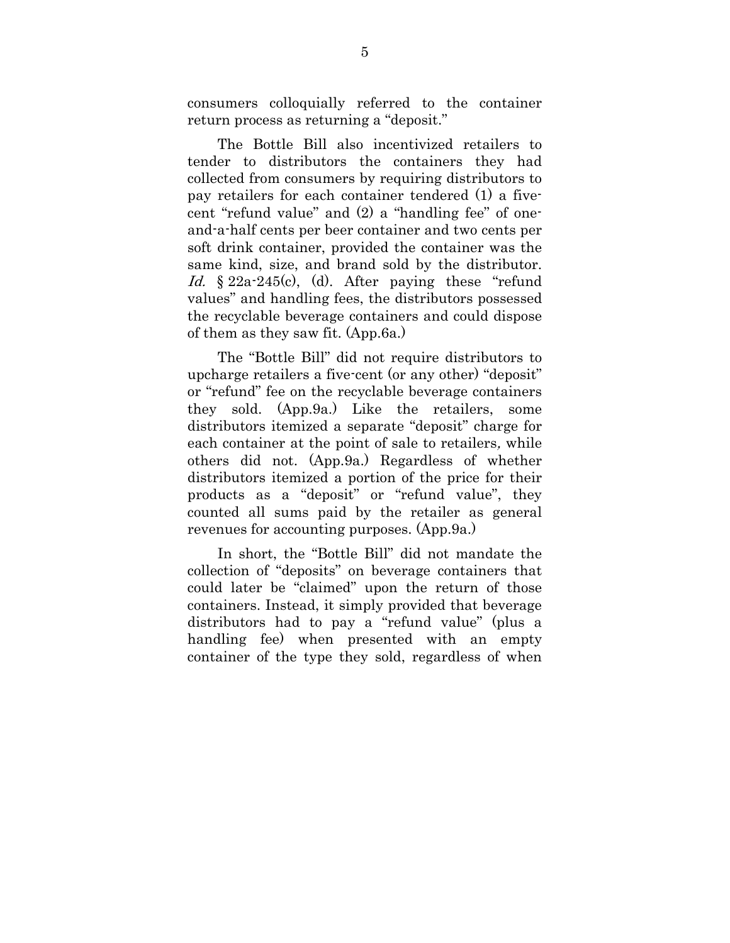consumers colloquially referred to the container return process as returning a "deposit."

The Bottle Bill also incentivized retailers to tender to distributors the containers they had collected from consumers by requiring distributors to pay retailers for each container tendered (1) a fivecent "refund value" and (2) a "handling fee" of oneand-a-half cents per beer container and two cents per soft drink container, provided the container was the same kind, size, and brand sold by the distributor. Id.  $§ 22a-245(c)$ , (d). After paying these "refund values" and handling fees, the distributors possessed the recyclable beverage containers and could dispose of them as they saw fit. (App.6a.)

The "Bottle Bill" did not require distributors to upcharge retailers a five-cent (or any other) "deposit" or "refund" fee on the recyclable beverage containers they sold. (App.9a.) Like the retailers, some distributors itemized a separate "deposit" charge for each container at the point of sale to retailers, while others did not. (App.9a.) Regardless of whether distributors itemized a portion of the price for their products as a "deposit" or "refund value", they counted all sums paid by the retailer as general revenues for accounting purposes. (App.9a.)

In short, the "Bottle Bill" did not mandate the collection of "deposits" on beverage containers that could later be "claimed" upon the return of those containers. Instead, it simply provided that beverage distributors had to pay a "refund value" (plus a handling fee) when presented with an empty container of the type they sold, regardless of when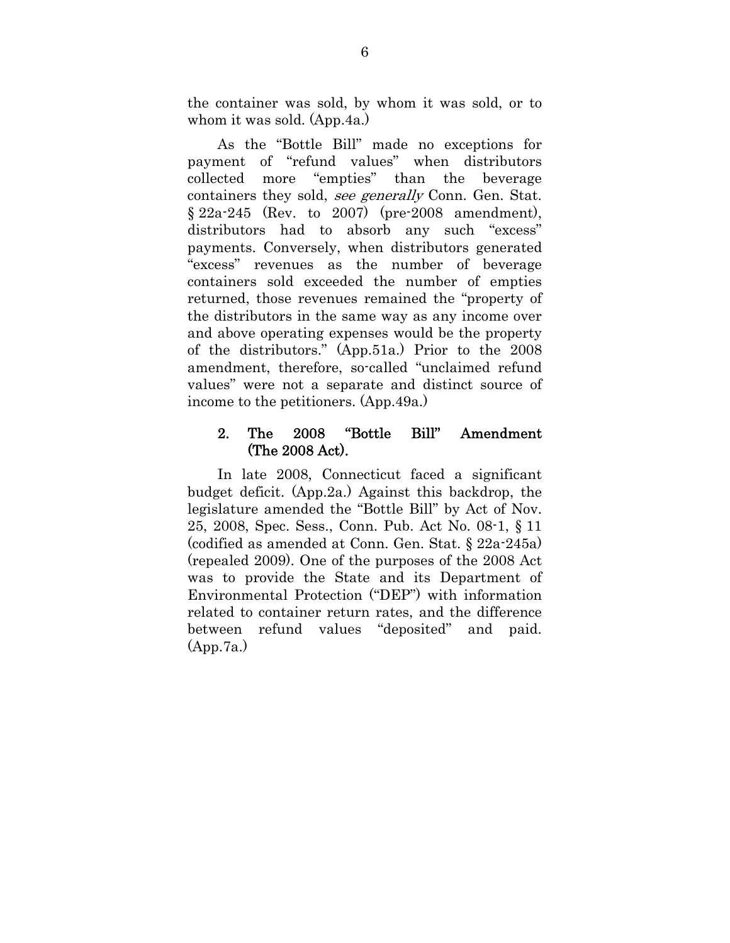the container was sold, by whom it was sold, or to whom it was sold. (App.4a.)

As the "Bottle Bill" made no exceptions for payment of "refund values" when distributors collected more "empties" than the beverage containers they sold, see generally Conn. Gen. Stat. § 22a-245 (Rev. to 2007) (pre-2008 amendment), distributors had to absorb any such "excess" payments. Conversely, when distributors generated "excess" revenues as the number of beverage containers sold exceeded the number of empties returned, those revenues remained the "property of the distributors in the same way as any income over and above operating expenses would be the property of the distributors." (App.51a.) Prior to the 2008 amendment, therefore, so-called "unclaimed refund values" were not a separate and distinct source of income to the petitioners. (App.49a.)

## 2. The 2008 "Bottle Bill" Amendment (The 2008 Act).

In late 2008, Connecticut faced a significant budget deficit. (App.2a.) Against this backdrop, the legislature amended the "Bottle Bill" by Act of Nov. 25, 2008, Spec. Sess., Conn. Pub. Act No. 08-1, § 11 (codified as amended at Conn. Gen. Stat. § 22a-245a) (repealed 2009). One of the purposes of the 2008 Act was to provide the State and its Department of Environmental Protection ("DEP") with information related to container return rates, and the difference between refund values "deposited" and paid. (App.7a.)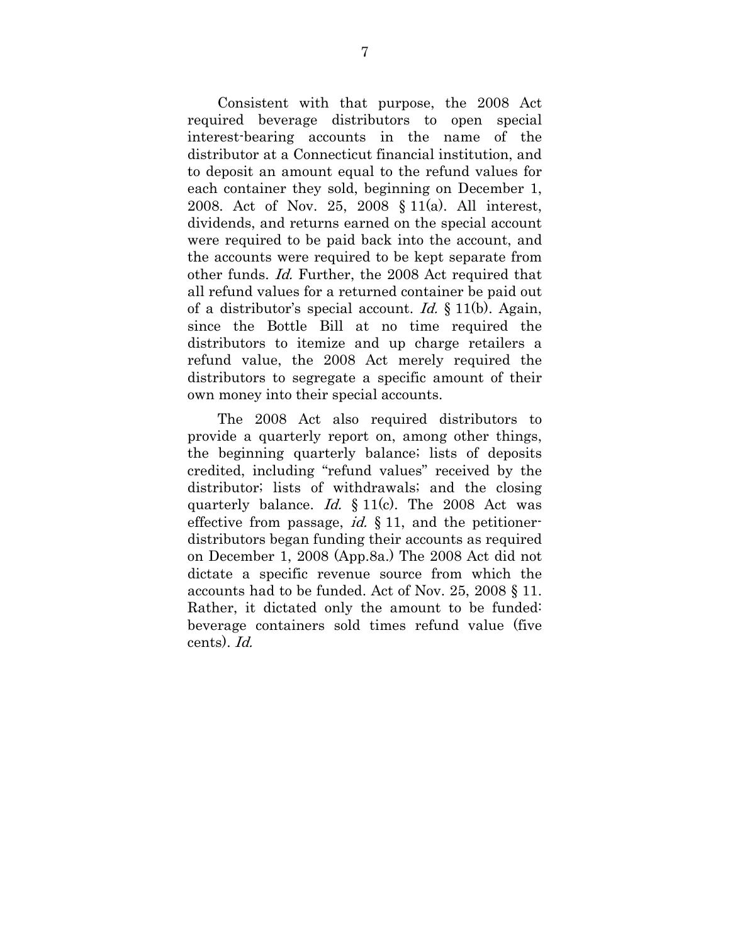Consistent with that purpose, the 2008 Act required beverage distributors to open special interest-bearing accounts in the name of the distributor at a Connecticut financial institution, and to deposit an amount equal to the refund values for each container they sold, beginning on December 1, 2008. Act of Nov. 25, 2008 § 11(a). All interest, dividends, and returns earned on the special account were required to be paid back into the account, and the accounts were required to be kept separate from other funds. Id. Further, the 2008 Act required that all refund values for a returned container be paid out of a distributor's special account. Id.  $\S 11(b)$ . Again, since the Bottle Bill at no time required the distributors to itemize and up charge retailers a refund value, the 2008 Act merely required the distributors to segregate a specific amount of their own money into their special accounts.

The 2008 Act also required distributors to provide a quarterly report on, among other things, the beginning quarterly balance; lists of deposits credited, including "refund values" received by the distributor; lists of withdrawals; and the closing quarterly balance. Id.  $\S 11(c)$ . The 2008 Act was effective from passage, *id.*  $\S 11$ , and the petitionerdistributors began funding their accounts as required on December 1, 2008 (App.8a.) The 2008 Act did not dictate a specific revenue source from which the accounts had to be funded. Act of Nov. 25, 2008 § 11. Rather, it dictated only the amount to be funded: beverage containers sold times refund value (five cents). Id.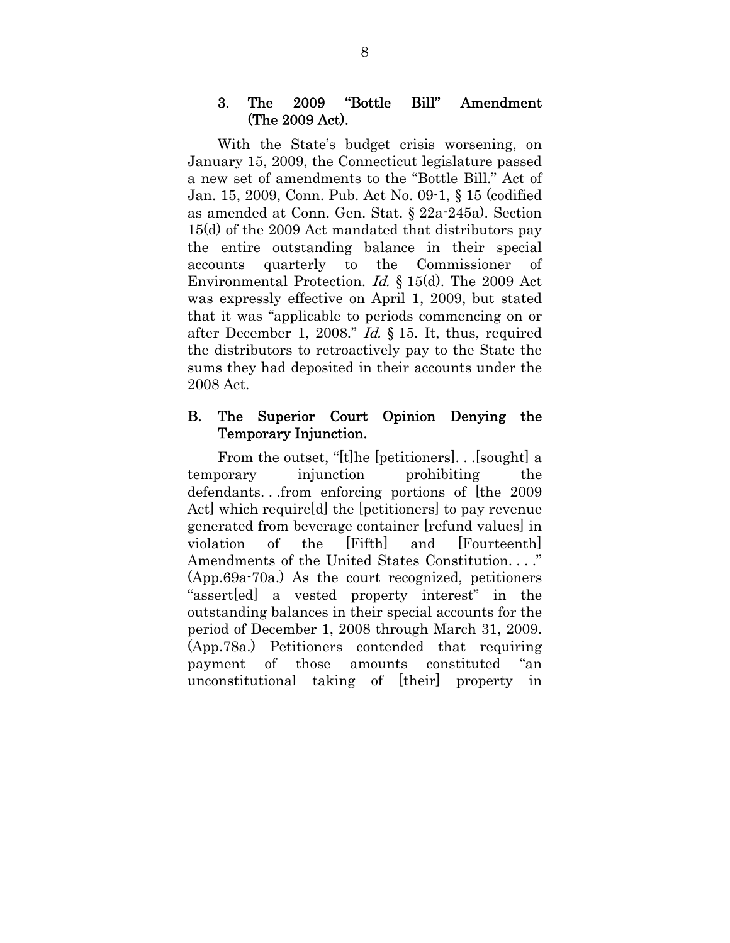### 3. The 2009 "Bottle Bill" Amendment (The 2009 Act).

With the State's budget crisis worsening, on January 15, 2009, the Connecticut legislature passed a new set of amendments to the "Bottle Bill." Act of Jan. 15, 2009, Conn. Pub. Act No. 09-1, § 15 (codified as amended at Conn. Gen. Stat. § 22a-245a). Section 15(d) of the 2009 Act mandated that distributors pay the entire outstanding balance in their special accounts quarterly to the Commissioner of Environmental Protection. Id. § 15(d). The 2009 Act was expressly effective on April 1, 2009, but stated that it was "applicable to periods commencing on or after December 1, 2008." Id. § 15. It, thus, required the distributors to retroactively pay to the State the sums they had deposited in their accounts under the 2008 Act.

### B. The Superior Court Opinion Denying the Temporary Injunction.

From the outset, "[t]he [petitioners]. . .[sought] a temporary injunction prohibiting the defendants. . .from enforcing portions of [the 2009 Act] which require[d] the [petitioners] to pay revenue generated from beverage container [refund values] in violation of the [Fifth] and [Fourteenth] Amendments of the United States Constitution. . . ." (App.69a-70a.) As the court recognized, petitioners "assert[ed] a vested property interest" in the outstanding balances in their special accounts for the period of December 1, 2008 through March 31, 2009. (App.78a.) Petitioners contended that requiring payment of those amounts constituted "an unconstitutional taking of [their] property in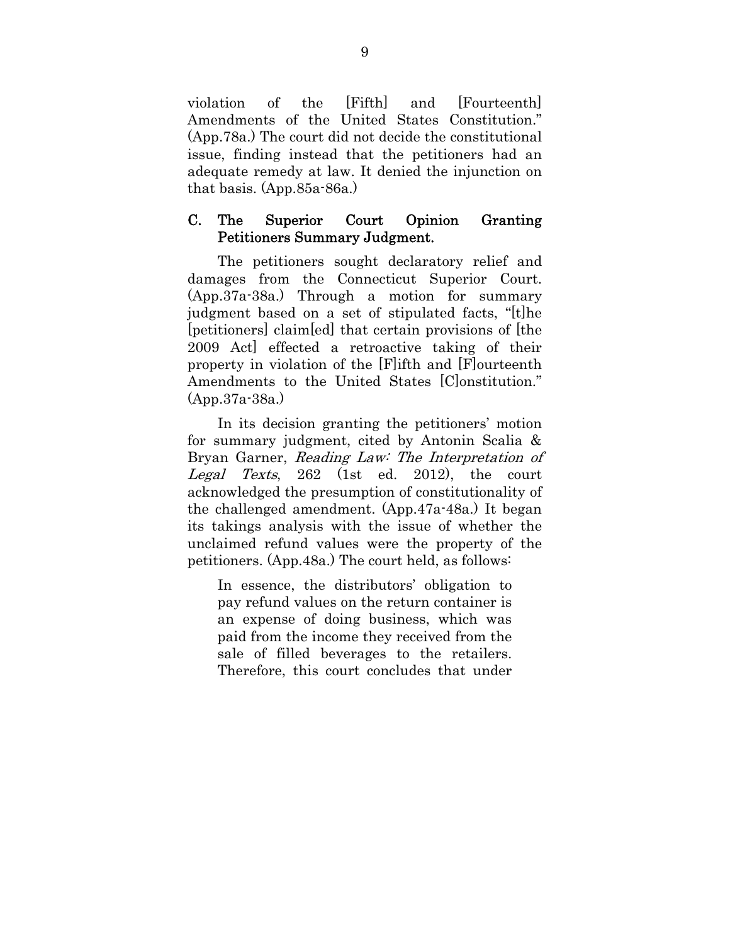violation of the [Fifth] and [Fourteenth] Amendments of the United States Constitution." (App.78a.) The court did not decide the constitutional issue, finding instead that the petitioners had an adequate remedy at law. It denied the injunction on that basis. (App.85a-86a.)

### C. The Superior Court Opinion Granting Petitioners Summary Judgment.

The petitioners sought declaratory relief and damages from the Connecticut Superior Court. (App.37a-38a.) Through a motion for summary judgment based on a set of stipulated facts, "[t]he [petitioners] claim[ed] that certain provisions of [the 2009 Act] effected a retroactive taking of their property in violation of the [F]ifth and [F]ourteenth Amendments to the United States [C]onstitution." (App.37a-38a.)

In its decision granting the petitioners' motion for summary judgment, cited by Antonin Scalia & Bryan Garner, Reading Law: The Interpretation of Legal Texts, 262 (1st ed. 2012), the court acknowledged the presumption of constitutionality of the challenged amendment. (App.47a-48a.) It began its takings analysis with the issue of whether the unclaimed refund values were the property of the petitioners. (App.48a.) The court held, as follows:

In essence, the distributors' obligation to pay refund values on the return container is an expense of doing business, which was paid from the income they received from the sale of filled beverages to the retailers. Therefore, this court concludes that under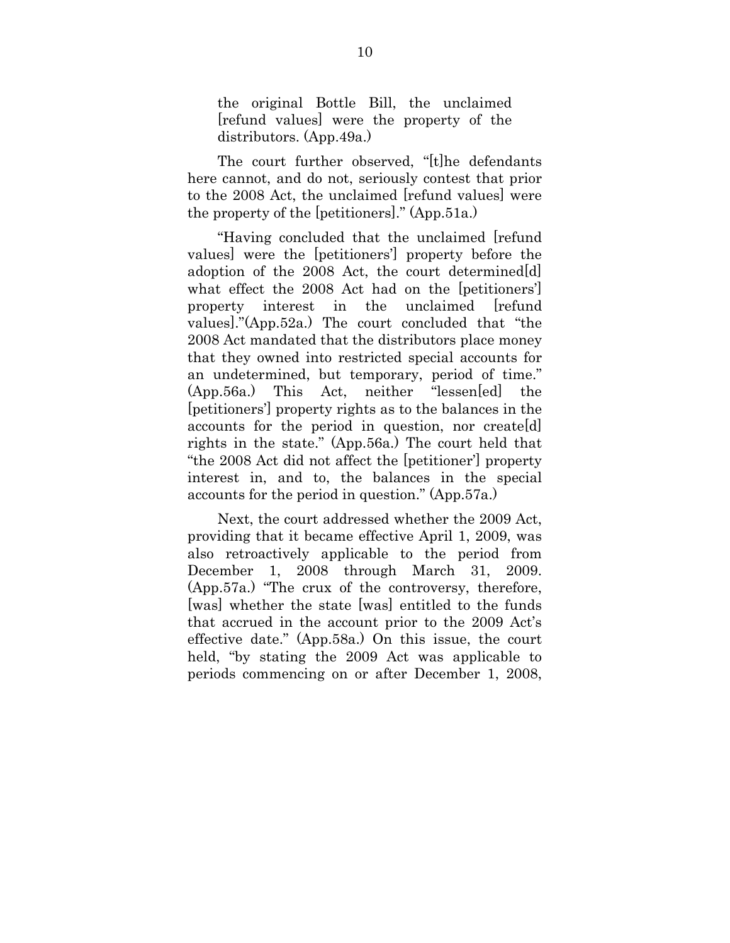the original Bottle Bill, the unclaimed [refund values] were the property of the distributors. (App.49a.)

The court further observed, "[t]he defendants here cannot, and do not, seriously contest that prior to the 2008 Act, the unclaimed [refund values] were the property of the [petitioners]." (App.51a.)

"Having concluded that the unclaimed [refund values] were the [petitioners'] property before the adoption of the 2008 Act, the court determined[d] what effect the 2008 Act had on the [petitioners'] property interest in the unclaimed [refund values]."(App.52a.) The court concluded that "the 2008 Act mandated that the distributors place money that they owned into restricted special accounts for an undetermined, but temporary, period of time." (App.56a.) This Act, neither "lessen[ed] the [petitioners'] property rights as to the balances in the accounts for the period in question, nor create[d] rights in the state." (App.56a.) The court held that "the 2008 Act did not affect the [petitioner'] property interest in, and to, the balances in the special accounts for the period in question." (App.57a.)

Next, the court addressed whether the 2009 Act, providing that it became effective April 1, 2009, was also retroactively applicable to the period from December 1, 2008 through March 31, 2009. (App.57a.) "The crux of the controversy, therefore, [was] whether the state [was] entitled to the funds that accrued in the account prior to the 2009 Act's effective date." (App.58a.) On this issue, the court held, "by stating the 2009 Act was applicable to periods commencing on or after December 1, 2008,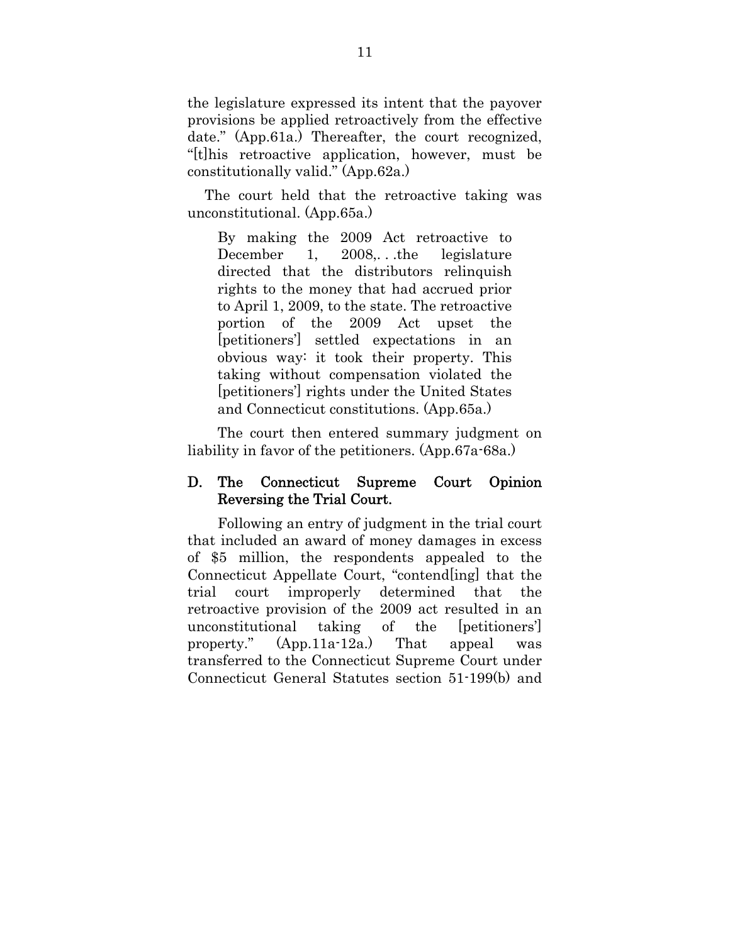the legislature expressed its intent that the payover provisions be applied retroactively from the effective date." (App.61a.) Thereafter, the court recognized, "[t]his retroactive application, however, must be constitutionally valid." (App.62a.)

The court held that the retroactive taking was unconstitutional. (App.65a.)

By making the 2009 Act retroactive to December 1, 2008, the legislature directed that the distributors relinquish rights to the money that had accrued prior to April 1, 2009, to the state. The retroactive portion of the 2009 Act upset the [petitioners'] settled expectations in an obvious way: it took their property. This taking without compensation violated the [petitioners'] rights under the United States and Connecticut constitutions. (App.65a.)

The court then entered summary judgment on liability in favor of the petitioners. (App.67a-68a.)

### D. The Connecticut Supreme Court Opinion Reversing the Trial Court.

Following an entry of judgment in the trial court that included an award of money damages in excess of \$5 million, the respondents appealed to the Connecticut Appellate Court, "contend[ing] that the trial court improperly determined that the retroactive provision of the 2009 act resulted in an unconstitutional taking of the [petitioners'] property." (App.11a-12a.) That appeal was transferred to the Connecticut Supreme Court under Connecticut General Statutes section 51-199(b) and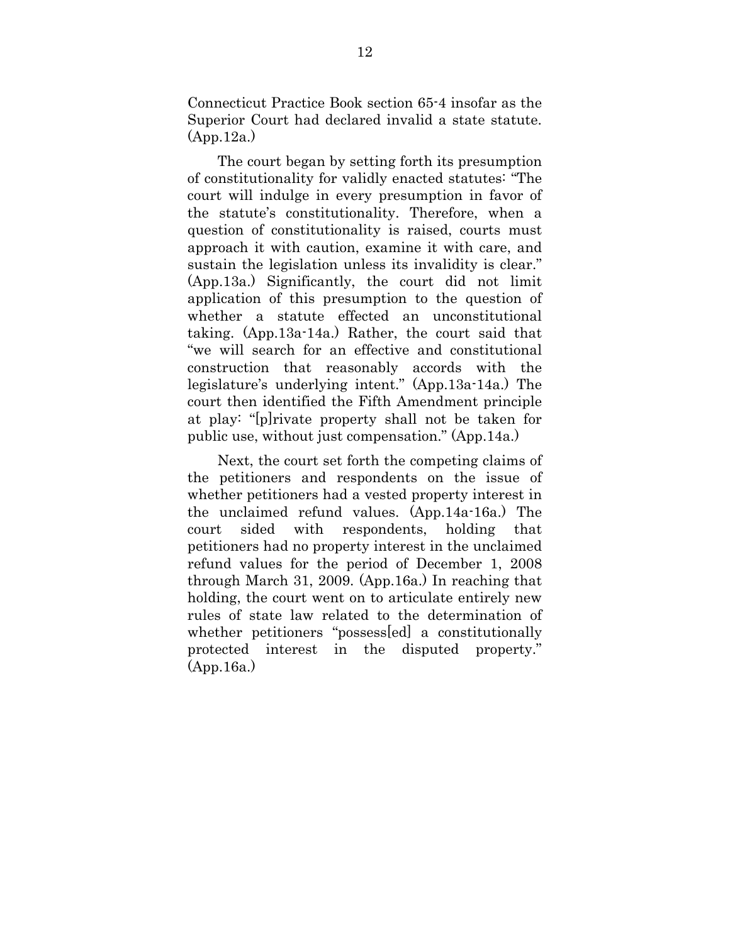Connecticut Practice Book section 65-4 insofar as the Superior Court had declared invalid a state statute. (App.12a.)

The court began by setting forth its presumption of constitutionality for validly enacted statutes: "The court will indulge in every presumption in favor of the statute's constitutionality. Therefore, when a question of constitutionality is raised, courts must approach it with caution, examine it with care, and sustain the legislation unless its invalidity is clear." (App.13a.) Significantly, the court did not limit application of this presumption to the question of whether a statute effected an unconstitutional taking. (App.13a-14a.) Rather, the court said that "we will search for an effective and constitutional construction that reasonably accords with the legislature's underlying intent." (App.13a-14a.) The court then identified the Fifth Amendment principle at play: "[p]rivate property shall not be taken for public use, without just compensation." (App.14a.)

Next, the court set forth the competing claims of the petitioners and respondents on the issue of whether petitioners had a vested property interest in the unclaimed refund values. (App.14a-16a.) The court sided with respondents, holding that petitioners had no property interest in the unclaimed refund values for the period of December 1, 2008 through March 31, 2009. (App.16a.) In reaching that holding, the court went on to articulate entirely new rules of state law related to the determination of whether petitioners "possess[ed] a constitutionally protected interest in the disputed property." (App.16a.)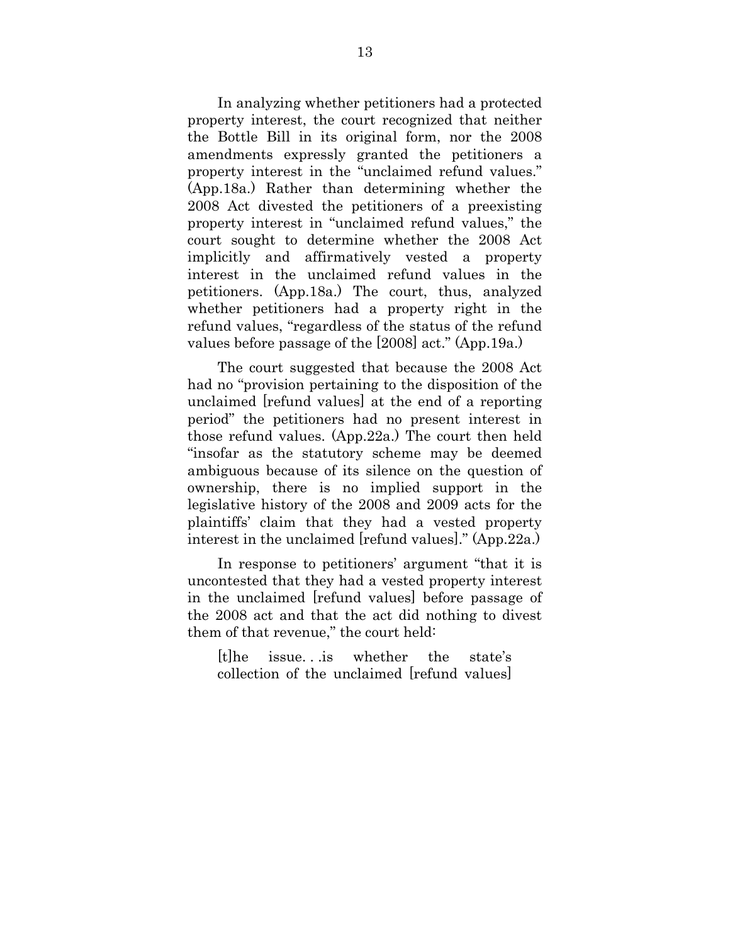In analyzing whether petitioners had a protected property interest, the court recognized that neither the Bottle Bill in its original form, nor the 2008 amendments expressly granted the petitioners a property interest in the "unclaimed refund values." (App.18a.) Rather than determining whether the 2008 Act divested the petitioners of a preexisting property interest in "unclaimed refund values," the court sought to determine whether the 2008 Act implicitly and affirmatively vested a property interest in the unclaimed refund values in the petitioners. (App.18a.) The court, thus, analyzed whether petitioners had a property right in the refund values, "regardless of the status of the refund values before passage of the [2008] act." (App.19a.)

The court suggested that because the 2008 Act had no "provision pertaining to the disposition of the unclaimed [refund values] at the end of a reporting period" the petitioners had no present interest in those refund values. (App.22a.) The court then held "insofar as the statutory scheme may be deemed ambiguous because of its silence on the question of ownership, there is no implied support in the legislative history of the 2008 and 2009 acts for the plaintiffs' claim that they had a vested property interest in the unclaimed [refund values]." (App.22a.)

In response to petitioners' argument "that it is uncontested that they had a vested property interest in the unclaimed [refund values] before passage of the 2008 act and that the act did nothing to divest them of that revenue," the court held:

[t]he issue. . .is whether the state's collection of the unclaimed [refund values]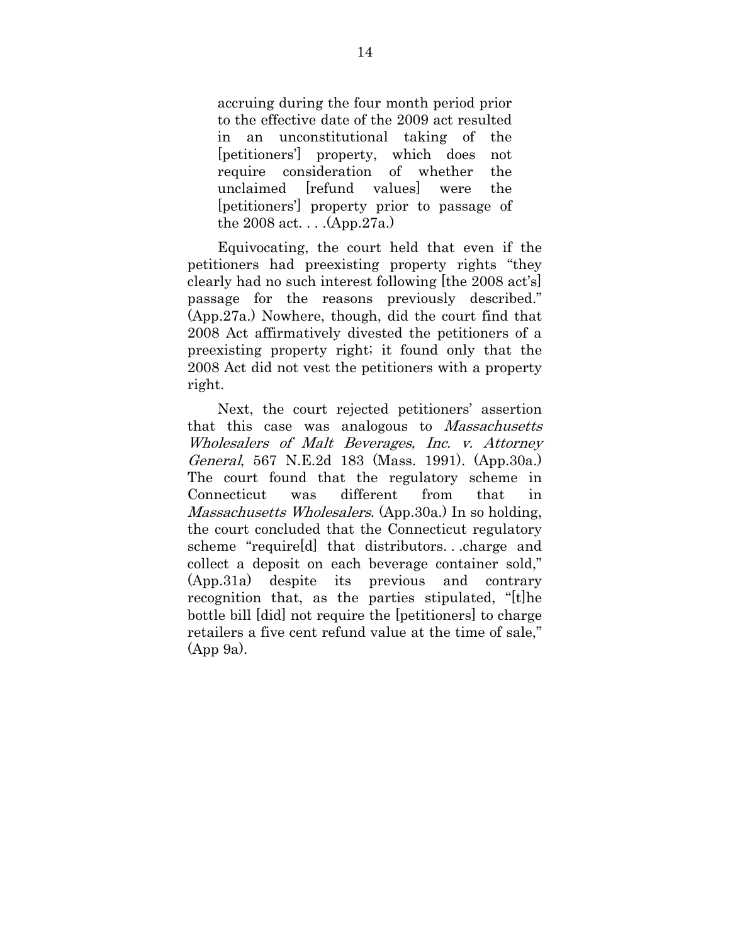accruing during the four month period prior to the effective date of the 2009 act resulted in an unconstitutional taking of the [petitioners'] property, which does not require consideration of whether the unclaimed [refund values] were the [petitioners'] property prior to passage of the 2008 act. . . .(App.27a.)

Equivocating, the court held that even if the petitioners had preexisting property rights "they clearly had no such interest following [the 2008 act's] passage for the reasons previously described." (App.27a.) Nowhere, though, did the court find that 2008 Act affirmatively divested the petitioners of a preexisting property right; it found only that the 2008 Act did not vest the petitioners with a property right.

Next, the court rejected petitioners' assertion that this case was analogous to Massachusetts Wholesalers of Malt Beverages, Inc. v. Attorney General, 567 N.E.2d 183 (Mass. 1991). (App.30a.) The court found that the regulatory scheme in Connecticut was different from that in Massachusetts Wholesalers. (App. 30a.) In so holding, the court concluded that the Connecticut regulatory scheme "require[d] that distributors. . .charge and collect a deposit on each beverage container sold," (App.31a) despite its previous and contrary recognition that, as the parties stipulated, "[t]he bottle bill [did] not require the [petitioners] to charge retailers a five cent refund value at the time of sale," (App 9a).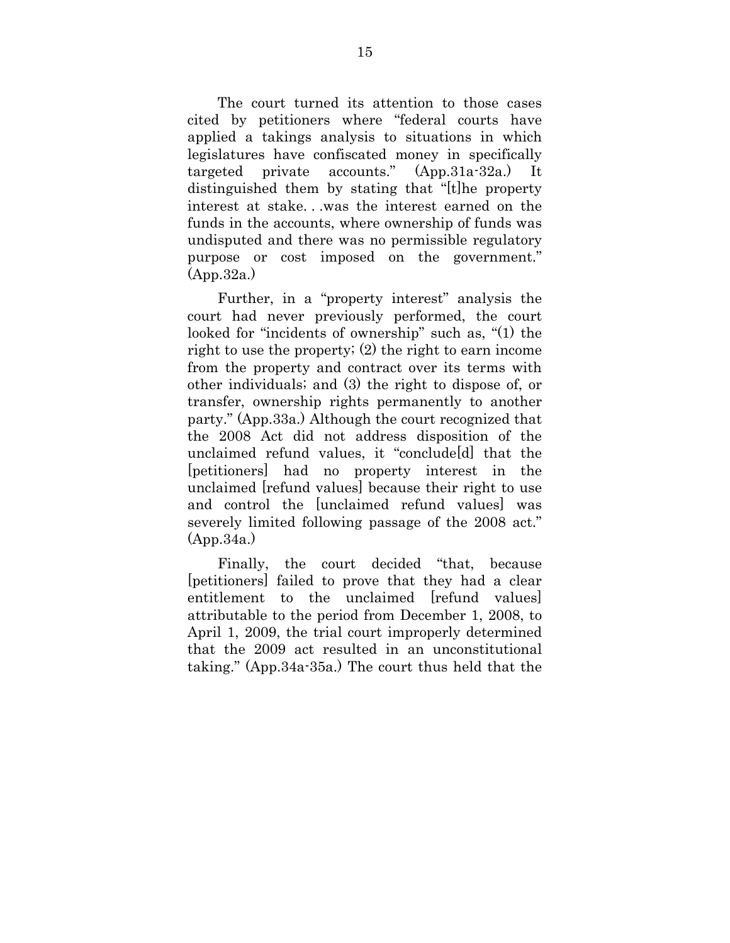The court turned its attention to those cases cited by petitioners where "federal courts have applied a takings analysis to situations in which legislatures have confiscated money in specifically targeted private accounts." (App.31a-32a.) It distinguished them by stating that "[t]he property interest at stake. . .was the interest earned on the funds in the accounts, where ownership of funds was undisputed and there was no permissible regulatory purpose or cost imposed on the government." (App.32a.)

Further, in a "property interest" analysis the court had never previously performed, the court looked for "incidents of ownership" such as, "(1) the right to use the property; (2) the right to earn income from the property and contract over its terms with other individuals; and (3) the right to dispose of, or transfer, ownership rights permanently to another party." (App.33a.) Although the court recognized that the 2008 Act did not address disposition of the unclaimed refund values, it "conclude[d] that the [petitioners] had no property interest in the unclaimed [refund values] because their right to use and control the [unclaimed refund values] was severely limited following passage of the 2008 act." (App.34a.)

Finally, the court decided "that, because [petitioners] failed to prove that they had a clear entitlement to the unclaimed refund values attributable to the period from December 1, 2008, to April 1, 2009, the trial court improperly determined that the 2009 act resulted in an unconstitutional taking." (App.34a-35a.) The court thus held that the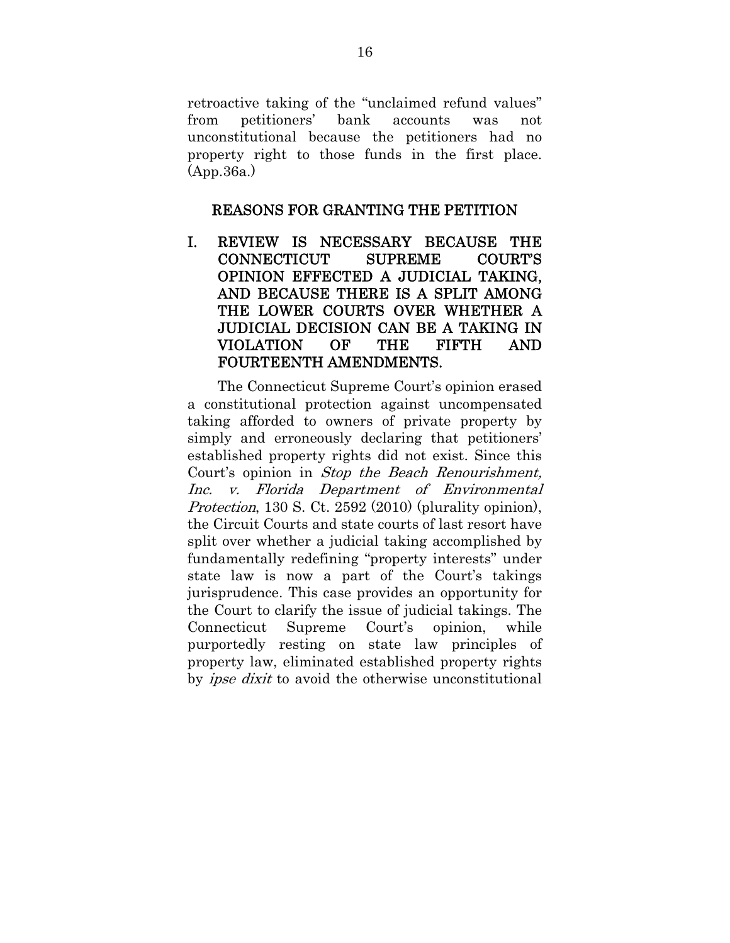retroactive taking of the "unclaimed refund values" from petitioners' bank accounts was not unconstitutional because the petitioners had no property right to those funds in the first place. (App.36a.)

### REASONS FOR GRANTING THE PETITION

I. REVIEW IS NECESSARY BECAUSE THE CONNECTICUT SUPREME COURT'S OPINION EFFECTED A JUDICIAL TAKING, AND BECAUSE THERE IS A SPLIT AMONG THE LOWER COURTS OVER WHETHER A JUDICIAL DECISION CAN BE A TAKING IN VIOLATION OF THE FIFTH AND FOURTEENTH AMENDMENTS.

The Connecticut Supreme Court's opinion erased a constitutional protection against uncompensated taking afforded to owners of private property by simply and erroneously declaring that petitioners' established property rights did not exist. Since this Court's opinion in Stop the Beach Renourishment, Inc. v. Florida Department of Environmental Protection, 130 S. Ct. 2592 (2010) (plurality opinion), the Circuit Courts and state courts of last resort have split over whether a judicial taking accomplished by fundamentally redefining "property interests" under state law is now a part of the Court's takings jurisprudence. This case provides an opportunity for the Court to clarify the issue of judicial takings. The Connecticut Supreme Court's opinion, while purportedly resting on state law principles of property law, eliminated established property rights by *ipse dixit* to avoid the otherwise unconstitutional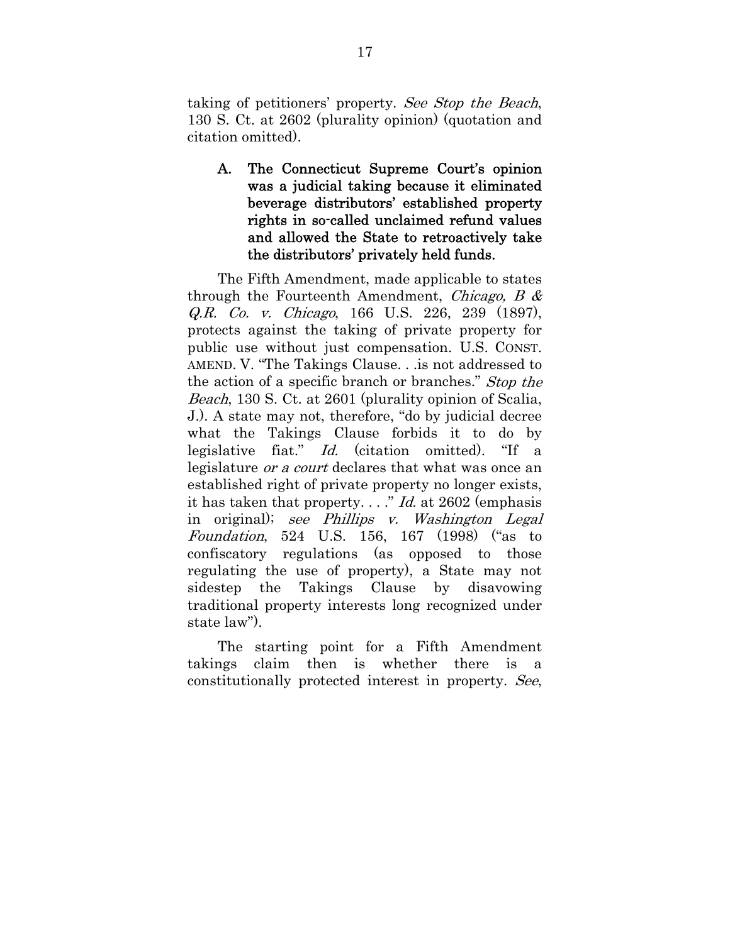taking of petitioners' property. See Stop the Beach, 130 S. Ct. at 2602 (plurality opinion) (quotation and citation omitted).

A. The Connecticut Supreme Court's opinion was a judicial taking because it eliminated beverage distributors' established property rights in so-called unclaimed refund values and allowed the State to retroactively take the distributors' privately held funds.

The Fifth Amendment, made applicable to states through the Fourteenth Amendment, Chicago, B  $\&$ Q.R. Co. v. Chicago, 166 U.S. 226, 239 (1897), protects against the taking of private property for public use without just compensation. U.S. CONST. AMEND. V. "The Takings Clause. . .is not addressed to the action of a specific branch or branches." Stop the Beach, 130 S. Ct. at 2601 (plurality opinion of Scalia, J.). A state may not, therefore, "do by judicial decree what the Takings Clause forbids it to do by legislative fiat." Id. (citation omitted). "If a legislature or a court declares that what was once an established right of private property no longer exists, it has taken that property.  $\ldots$ " *Id.* at 2602 (emphasis in original); see Phillips v. Washington Legal Foundation, 524 U.S. 156, 167 (1998) ("as to confiscatory regulations (as opposed to those regulating the use of property), a State may not sidestep the Takings Clause by disavowing traditional property interests long recognized under state law").

The starting point for a Fifth Amendment takings claim then is whether there is a constitutionally protected interest in property. See,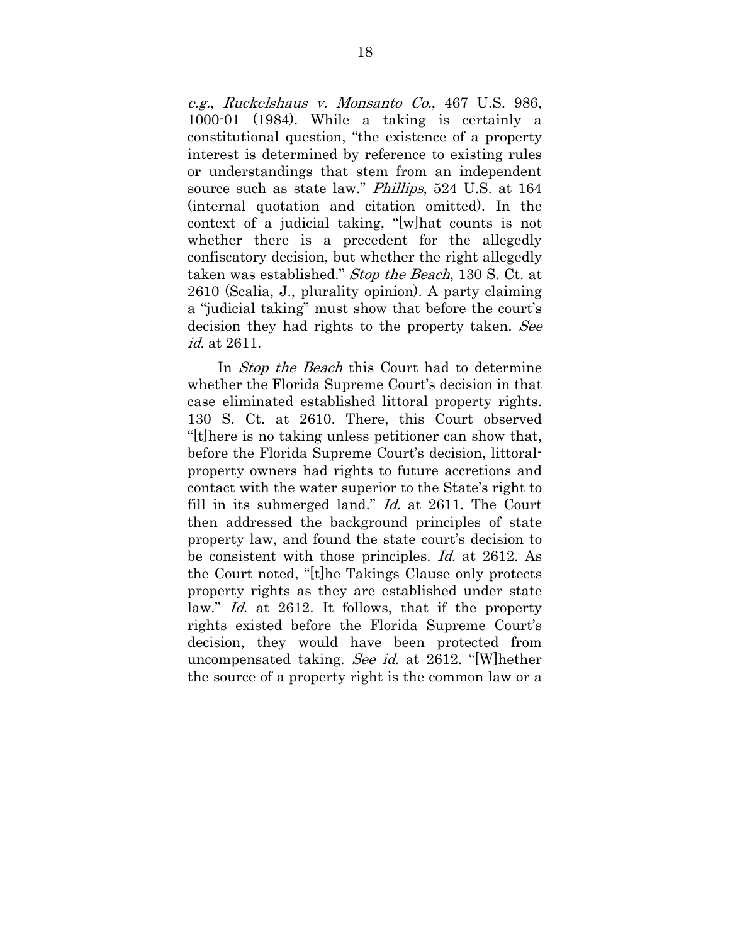e.g., Ruckelshaus v. Monsanto Co., 467 U.S. 986, 1000-01 (1984). While a taking is certainly a constitutional question, "the existence of a property interest is determined by reference to existing rules or understandings that stem from an independent source such as state law." Phillips, 524 U.S. at 164 (internal quotation and citation omitted). In the context of a judicial taking, "[w]hat counts is not whether there is a precedent for the allegedly confiscatory decision, but whether the right allegedly taken was established." Stop the Beach, 130 S. Ct. at 2610 (Scalia, J., plurality opinion). A party claiming a "judicial taking" must show that before the court's decision they had rights to the property taken. See id. at 2611.

In *Stop the Beach* this Court had to determine whether the Florida Supreme Court's decision in that case eliminated established littoral property rights. 130 S. Ct. at 2610. There, this Court observed "[t]here is no taking unless petitioner can show that, before the Florida Supreme Court's decision, littoralproperty owners had rights to future accretions and contact with the water superior to the State's right to fill in its submerged land." Id. at 2611. The Court then addressed the background principles of state property law, and found the state court's decision to be consistent with those principles. Id. at 2612. As the Court noted, "[t]he Takings Clause only protects property rights as they are established under state law." *Id.* at 2612. It follows, that if the property rights existed before the Florida Supreme Court's decision, they would have been protected from uncompensated taking. See id. at 2612. "[W]hether the source of a property right is the common law or a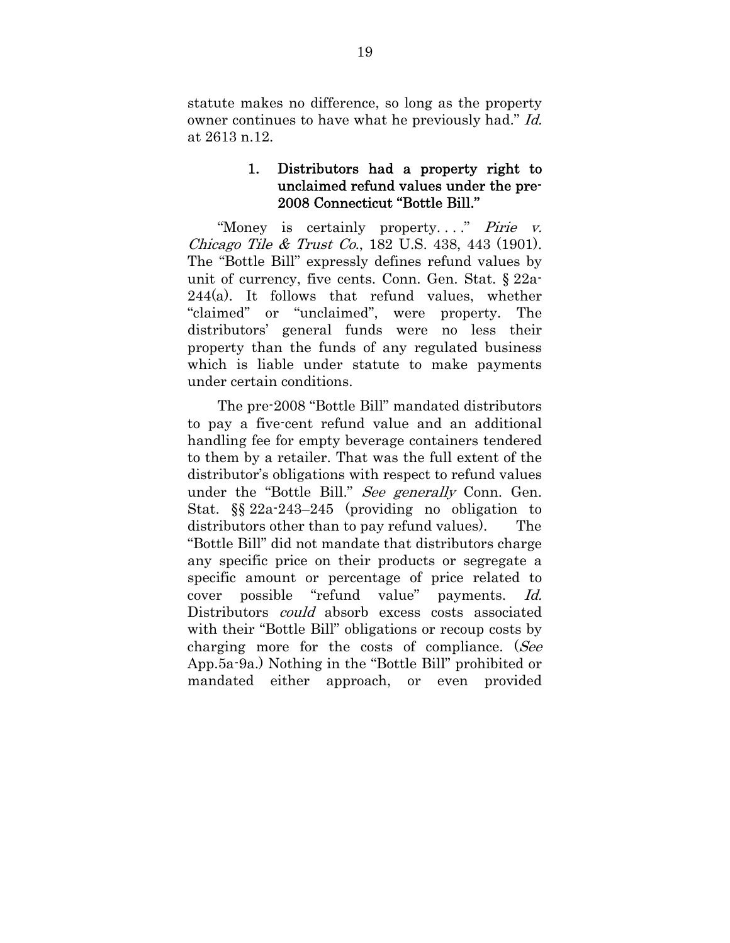statute makes no difference, so long as the property owner continues to have what he previously had." Id. at 2613 n.12.

### 1. Distributors had a property right to unclaimed refund values under the pre-2008 Connecticut "Bottle Bill."

"Money is certainly property...." Pirie v. Chicago Tile & Trust Co., 182 U.S. 438, 443 (1901). The "Bottle Bill" expressly defines refund values by unit of currency, five cents. Conn. Gen. Stat. § 22a- $244(a)$ . It follows that refund values, whether "claimed" or "unclaimed", were property. The distributors' general funds were no less their property than the funds of any regulated business which is liable under statute to make payments under certain conditions.

The pre-2008 "Bottle Bill" mandated distributors to pay a five-cent refund value and an additional handling fee for empty beverage containers tendered to them by a retailer. That was the full extent of the distributor's obligations with respect to refund values under the "Bottle Bill." See generally Conn. Gen. Stat. §§ 22a-243–245 (providing no obligation to distributors other than to pay refund values). The "Bottle Bill" did not mandate that distributors charge any specific price on their products or segregate a specific amount or percentage of price related to cover possible "refund value" payments. Id. Distributors *could* absorb excess costs associated with their "Bottle Bill" obligations or recoup costs by charging more for the costs of compliance. (See App.5a-9a.) Nothing in the "Bottle Bill" prohibited or mandated either approach, or even provided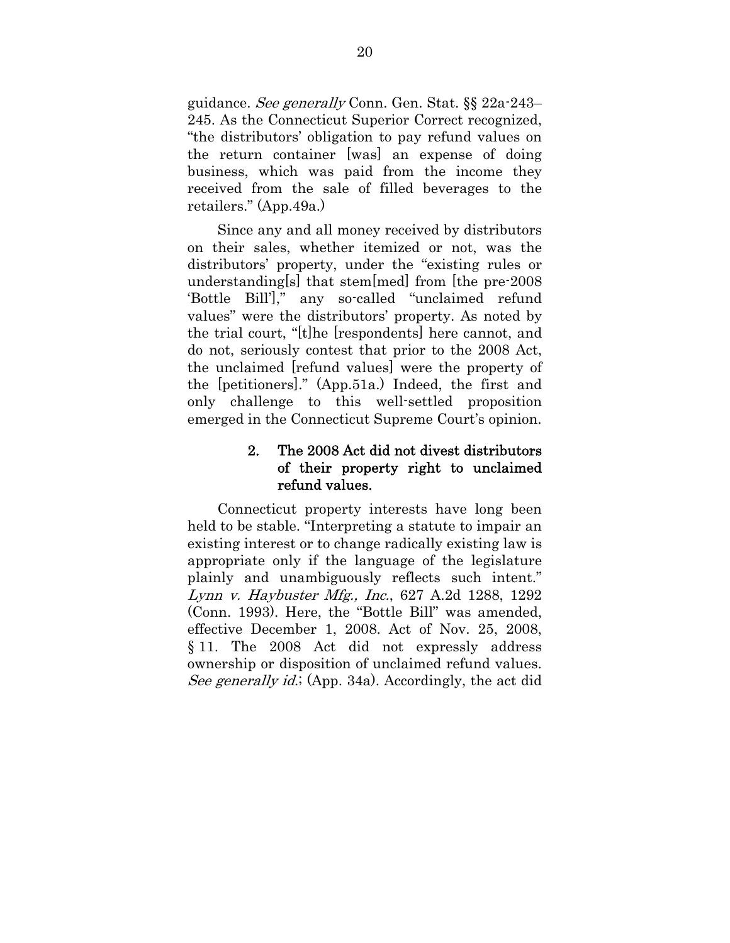guidance. See generally Conn. Gen. Stat. §§ 22a-243– 245. As the Connecticut Superior Correct recognized, "the distributors' obligation to pay refund values on the return container [was] an expense of doing business, which was paid from the income they received from the sale of filled beverages to the retailers." (App.49a.)

Since any and all money received by distributors on their sales, whether itemized or not, was the distributors' property, under the "existing rules or understanding[s] that stem[med] from [the pre-2008 'Bottle Bill']," any so-called "unclaimed refund values" were the distributors' property. As noted by the trial court, "[t]he [respondents] here cannot, and do not, seriously contest that prior to the 2008 Act, the unclaimed [refund values] were the property of the [petitioners]." (App.51a.) Indeed, the first and only challenge to this well-settled proposition emerged in the Connecticut Supreme Court's opinion.

## 2. The 2008 Act did not divest distributors of their property right to unclaimed refund values.

Connecticut property interests have long been held to be stable. "Interpreting a statute to impair an existing interest or to change radically existing law is appropriate only if the language of the legislature plainly and unambiguously reflects such intent." Lynn v. Haybuster Mfg., Inc., 627 A.2d 1288, 1292 (Conn. 1993). Here, the "Bottle Bill" was amended, effective December 1, 2008. Act of Nov. 25, 2008, § 11. The 2008 Act did not expressly address ownership or disposition of unclaimed refund values. See generally id.; (App. 34a). Accordingly, the act did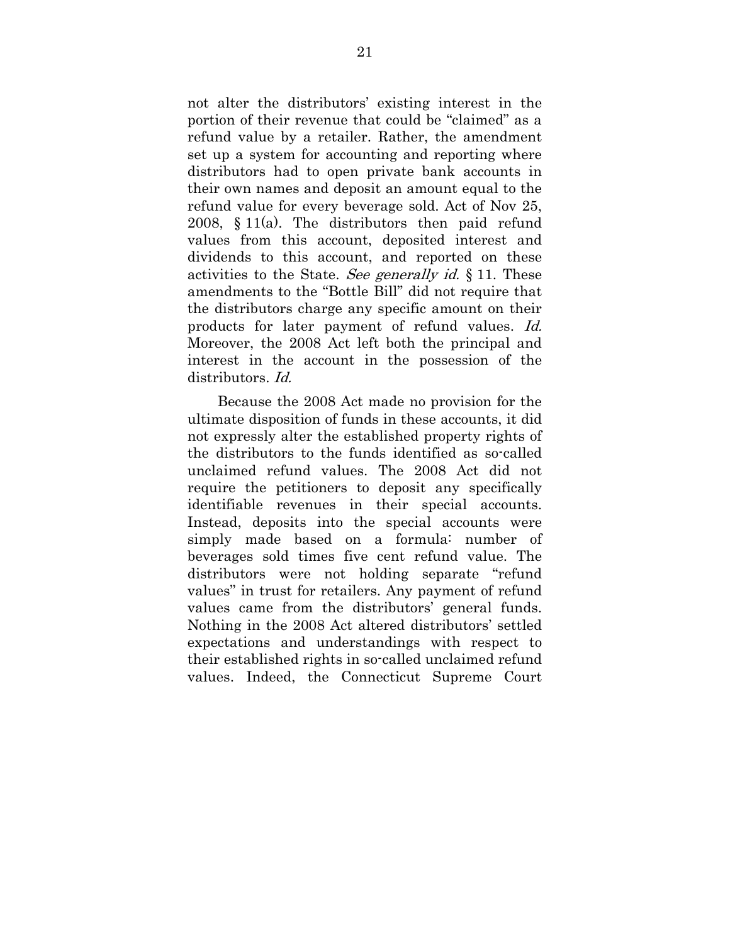not alter the distributors' existing interest in the portion of their revenue that could be "claimed" as a refund value by a retailer. Rather, the amendment set up a system for accounting and reporting where distributors had to open private bank accounts in their own names and deposit an amount equal to the refund value for every beverage sold. Act of Nov 25, 2008, § 11(a). The distributors then paid refund values from this account, deposited interest and dividends to this account, and reported on these activities to the State. See generally id. § 11. These amendments to the "Bottle Bill" did not require that the distributors charge any specific amount on their products for later payment of refund values. Id. Moreover, the 2008 Act left both the principal and interest in the account in the possession of the distributors. Id.

Because the 2008 Act made no provision for the ultimate disposition of funds in these accounts, it did not expressly alter the established property rights of the distributors to the funds identified as so-called unclaimed refund values. The 2008 Act did not require the petitioners to deposit any specifically identifiable revenues in their special accounts. Instead, deposits into the special accounts were simply made based on a formula: number of beverages sold times five cent refund value. The distributors were not holding separate "refund values" in trust for retailers. Any payment of refund values came from the distributors' general funds. Nothing in the 2008 Act altered distributors' settled expectations and understandings with respect to their established rights in so-called unclaimed refund values. Indeed, the Connecticut Supreme Court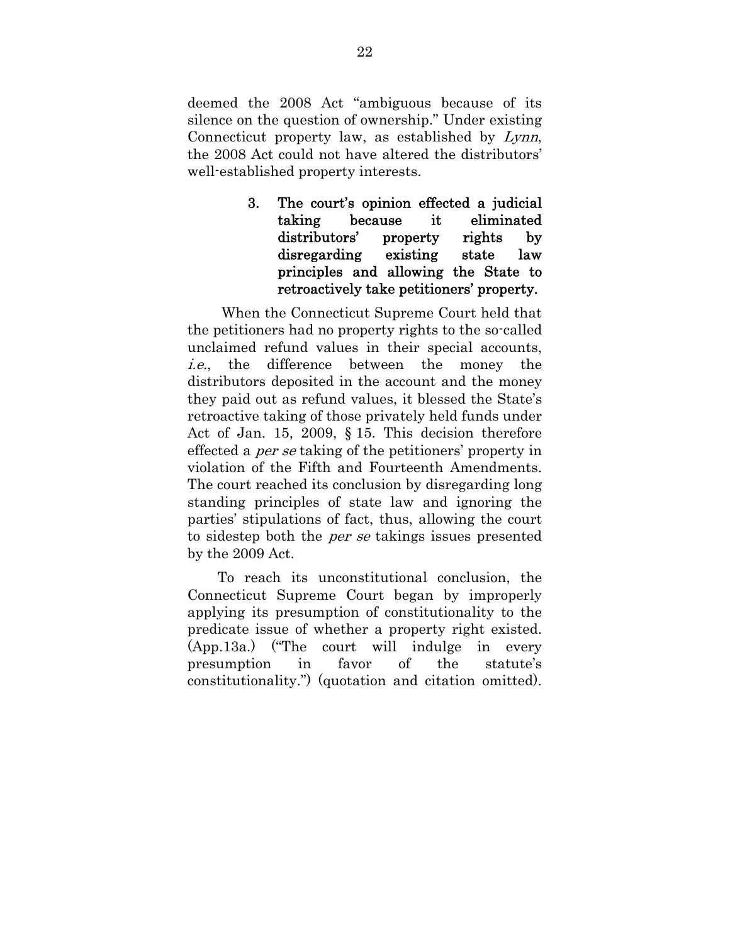deemed the 2008 Act "ambiguous because of its silence on the question of ownership." Under existing Connecticut property law, as established by Lynn, the 2008 Act could not have altered the distributors' well-established property interests.

> 3. The court's opinion effected a judicial taking because it eliminated distributors' property rights by disregarding existing state law principles and allowing the State to retroactively take petitioners' property.

 When the Connecticut Supreme Court held that the petitioners had no property rights to the so-called unclaimed refund values in their special accounts, i.e., the difference between the money the distributors deposited in the account and the money they paid out as refund values, it blessed the State's retroactive taking of those privately held funds under Act of Jan. 15, 2009, § 15. This decision therefore effected a per se taking of the petitioners' property in violation of the Fifth and Fourteenth Amendments. The court reached its conclusion by disregarding long standing principles of state law and ignoring the parties' stipulations of fact, thus, allowing the court to sidestep both the per se takings issues presented by the 2009 Act.

To reach its unconstitutional conclusion, the Connecticut Supreme Court began by improperly applying its presumption of constitutionality to the predicate issue of whether a property right existed. (App.13a.) ("The court will indulge in every presumption in favor of the statute's constitutionality.") (quotation and citation omitted).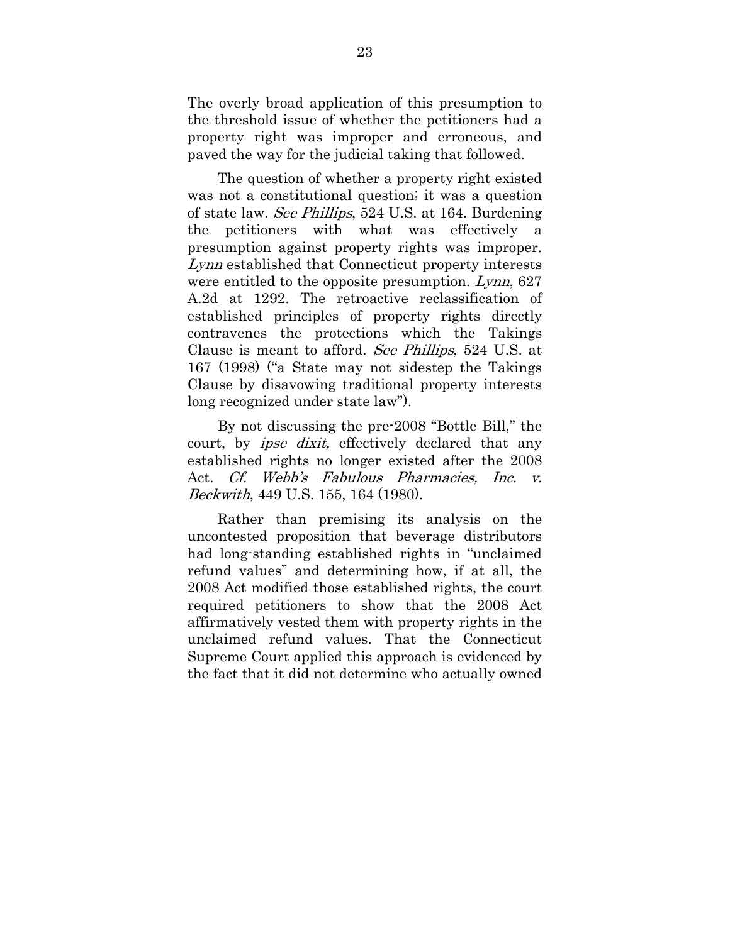The overly broad application of this presumption to the threshold issue of whether the petitioners had a property right was improper and erroneous, and paved the way for the judicial taking that followed.

The question of whether a property right existed was not a constitutional question; it was a question of state law. See Phillips, 524 U.S. at 164. Burdening the petitioners with what was effectively a presumption against property rights was improper. Lynn established that Connecticut property interests were entitled to the opposite presumption. Lynn, 627 A.2d at 1292. The retroactive reclassification of established principles of property rights directly contravenes the protections which the Takings Clause is meant to afford. See Phillips, 524 U.S. at 167 (1998) ("a State may not sidestep the Takings Clause by disavowing traditional property interests long recognized under state law").

By not discussing the pre-2008 "Bottle Bill," the court, by *ipse dixit*, effectively declared that any established rights no longer existed after the 2008 Act. Cf. Webb's Fabulous Pharmacies, Inc. v. Beckwith, 449 U.S. 155, 164 (1980).

Rather than premising its analysis on the uncontested proposition that beverage distributors had long-standing established rights in "unclaimed refund values" and determining how, if at all, the 2008 Act modified those established rights, the court required petitioners to show that the 2008 Act affirmatively vested them with property rights in the unclaimed refund values. That the Connecticut Supreme Court applied this approach is evidenced by the fact that it did not determine who actually owned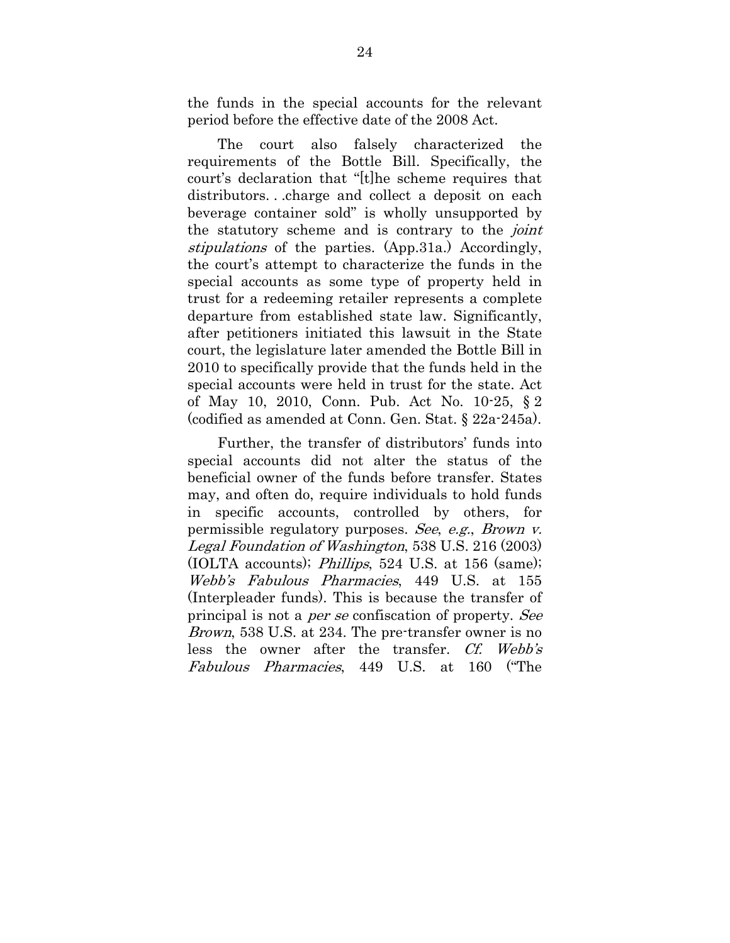the funds in the special accounts for the relevant period before the effective date of the 2008 Act.

The court also falsely characterized the requirements of the Bottle Bill. Specifically, the court's declaration that "[t]he scheme requires that distributors. . .charge and collect a deposit on each beverage container sold" is wholly unsupported by the statutory scheme and is contrary to the *joint* stipulations of the parties. (App.31a.) Accordingly, the court's attempt to characterize the funds in the special accounts as some type of property held in trust for a redeeming retailer represents a complete departure from established state law. Significantly, after petitioners initiated this lawsuit in the State court, the legislature later amended the Bottle Bill in 2010 to specifically provide that the funds held in the special accounts were held in trust for the state. Act of May 10, 2010, Conn. Pub. Act No. 10-25, § 2 (codified as amended at Conn. Gen. Stat. § 22a-245a).

Further, the transfer of distributors' funds into special accounts did not alter the status of the beneficial owner of the funds before transfer. States may, and often do, require individuals to hold funds in specific accounts, controlled by others, for permissible regulatory purposes. See, e.g., Brown v. Legal Foundation of Washington, 538 U.S. 216 (2003) (IOLTA accounts); Phillips, 524 U.S. at 156 (same); Webb's Fabulous Pharmacies, 449 U.S. at 155 (Interpleader funds). This is because the transfer of principal is not a per se confiscation of property. See Brown, 538 U.S. at 234. The pre-transfer owner is no less the owner after the transfer. Cf. Webb's Fabulous Pharmacies, 449 U.S. at 160 ("The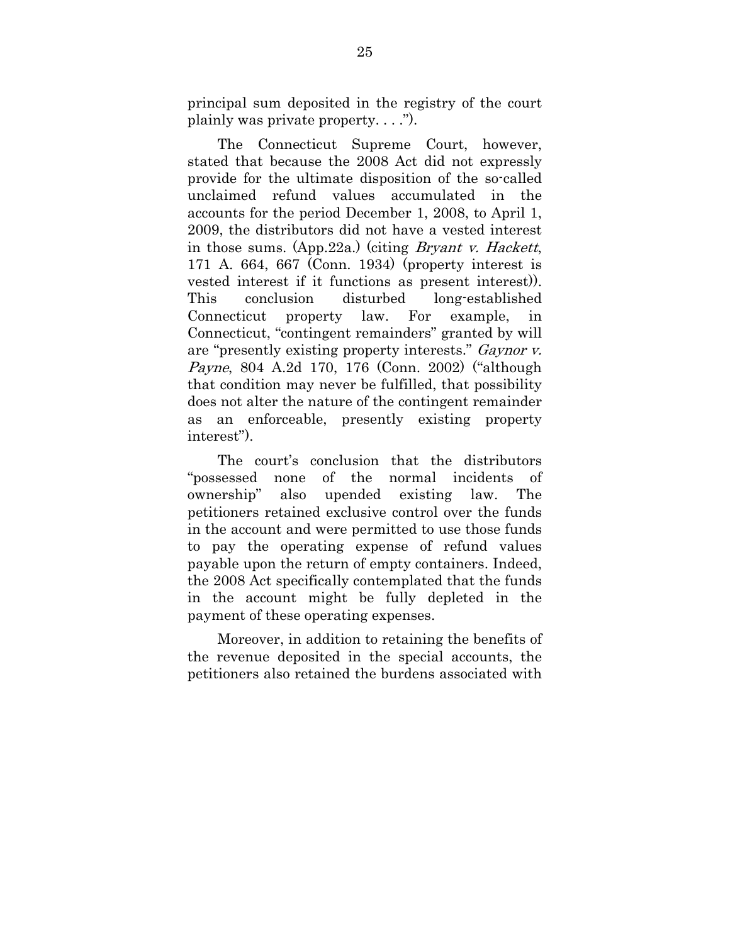principal sum deposited in the registry of the court plainly was private property. . . .").

The Connecticut Supreme Court, however, stated that because the 2008 Act did not expressly provide for the ultimate disposition of the so-called unclaimed refund values accumulated in the accounts for the period December 1, 2008, to April 1, 2009, the distributors did not have a vested interest in those sums. (App.22a.) (citing Bryant v. Hackett, 171 A. 664, 667 (Conn. 1934) (property interest is vested interest if it functions as present interest)). This conclusion disturbed long-established Connecticut property law. For example, in Connecticut, "contingent remainders" granted by will are "presently existing property interests." Gaynor v. Payne, 804 A.2d 170, 176 (Conn. 2002) ("although that condition may never be fulfilled, that possibility does not alter the nature of the contingent remainder as an enforceable, presently existing property interest").

The court's conclusion that the distributors "possessed none of the normal incidents of ownership" also upended existing law. The petitioners retained exclusive control over the funds in the account and were permitted to use those funds to pay the operating expense of refund values payable upon the return of empty containers. Indeed, the 2008 Act specifically contemplated that the funds in the account might be fully depleted in the payment of these operating expenses.

Moreover, in addition to retaining the benefits of the revenue deposited in the special accounts, the petitioners also retained the burdens associated with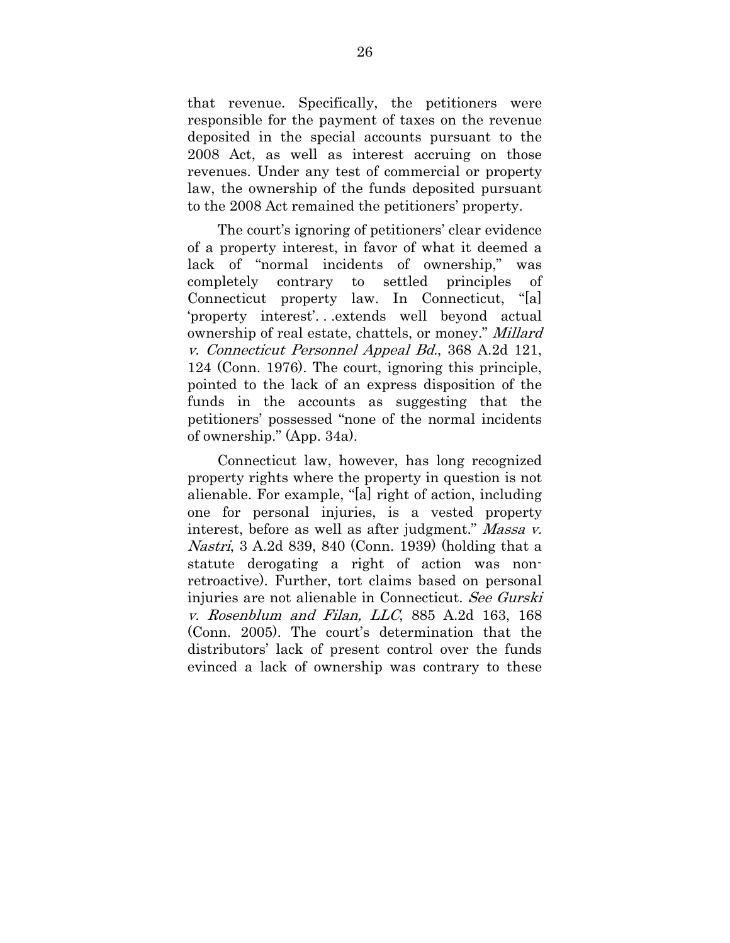that revenue. Specifically, the petitioners were responsible for the payment of taxes on the revenue deposited in the special accounts pursuant to the 2008 Act, as well as interest accruing on those revenues. Under any test of commercial or property law, the ownership of the funds deposited pursuant to the 2008 Act remained the petitioners' property.

The court's ignoring of petitioners' clear evidence of a property interest, in favor of what it deemed a lack of "normal incidents of ownership," was completely contrary to settled principles of Connecticut property law. In Connecticut, "[a] 'property interest'. . .extends well beyond actual ownership of real estate, chattels, or money." Millard v. Connecticut Personnel Appeal Bd., 368 A.2d 121, 124 (Conn. 1976). The court, ignoring this principle, pointed to the lack of an express disposition of the funds in the accounts as suggesting that the petitioners' possessed "none of the normal incidents of ownership." (App. 34a).

Connecticut law, however, has long recognized property rights where the property in question is not alienable. For example, "[a] right of action, including one for personal injuries, is a vested property interest, before as well as after judgment." Massa v. Nastri, 3 A.2d 839, 840 (Conn. 1939) (holding that a statute derogating a right of action was nonretroactive). Further, tort claims based on personal injuries are not alienable in Connecticut. See Gurski v. Rosenblum and Filan, LLC, 885 A.2d 163, 168 (Conn. 2005). The court's determination that the distributors' lack of present control over the funds evinced a lack of ownership was contrary to these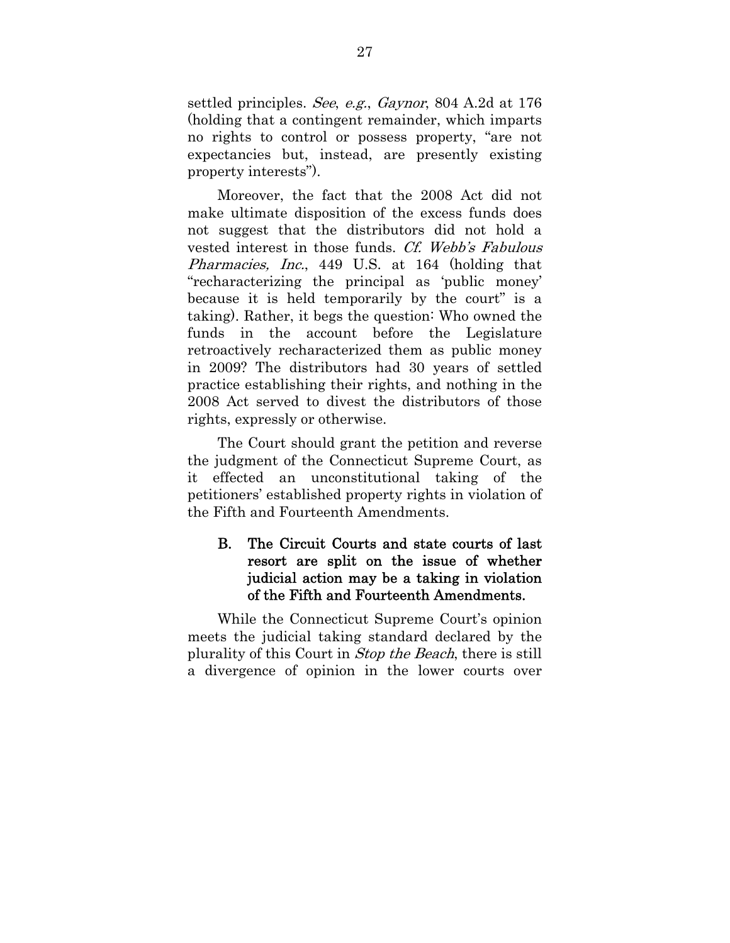settled principles. See, e.g., Gaynor, 804 A.2d at 176 (holding that a contingent remainder, which imparts no rights to control or possess property, "are not expectancies but, instead, are presently existing property interests").

Moreover, the fact that the 2008 Act did not make ultimate disposition of the excess funds does not suggest that the distributors did not hold a vested interest in those funds. Cf. Webb's Fabulous Pharmacies, Inc., 449 U.S. at 164 (holding that "recharacterizing the principal as 'public money' because it is held temporarily by the court" is a taking). Rather, it begs the question: Who owned the funds in the account before the Legislature retroactively recharacterized them as public money in 2009? The distributors had 30 years of settled practice establishing their rights, and nothing in the 2008 Act served to divest the distributors of those rights, expressly or otherwise.

The Court should grant the petition and reverse the judgment of the Connecticut Supreme Court, as it effected an unconstitutional taking of the petitioners' established property rights in violation of the Fifth and Fourteenth Amendments.

## B. The Circuit Courts and state courts of last resort are split on the issue of whether judicial action may be a taking in violation of the Fifth and Fourteenth Amendments.

While the Connecticut Supreme Court's opinion meets the judicial taking standard declared by the plurality of this Court in Stop the Beach, there is still a divergence of opinion in the lower courts over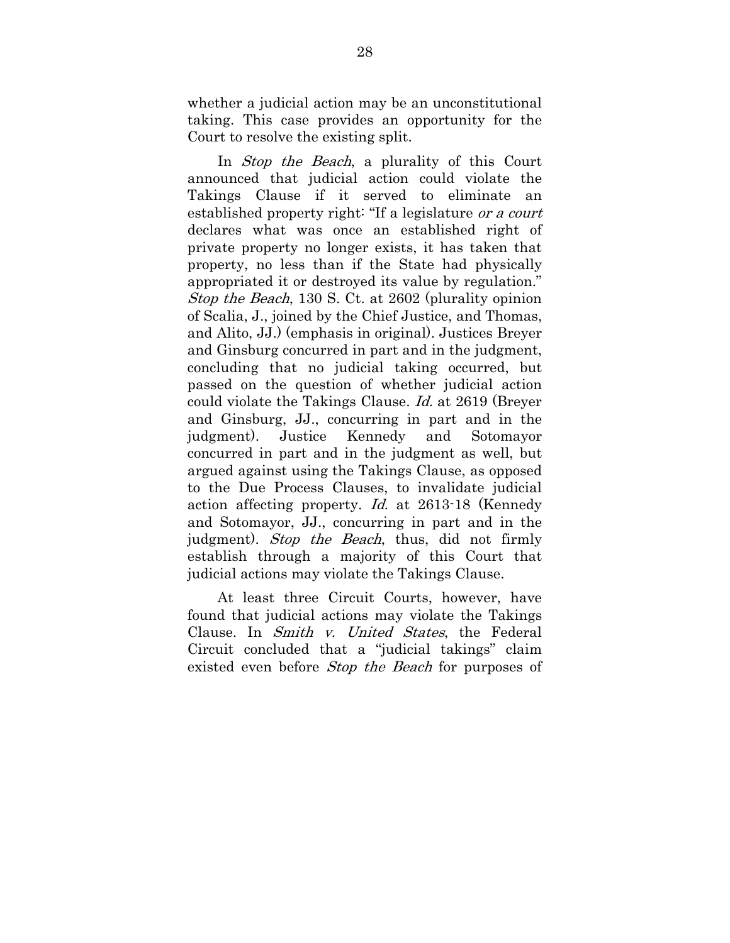whether a judicial action may be an unconstitutional taking. This case provides an opportunity for the Court to resolve the existing split.

In *Stop the Beach*, a plurality of this Court announced that judicial action could violate the Takings Clause if it served to eliminate an established property right: "If a legislature or a court declares what was once an established right of private property no longer exists, it has taken that property, no less than if the State had physically appropriated it or destroyed its value by regulation." Stop the Beach, 130 S. Ct. at 2602 (plurality opinion of Scalia, J., joined by the Chief Justice, and Thomas, and Alito, JJ.) (emphasis in original). Justices Breyer and Ginsburg concurred in part and in the judgment, concluding that no judicial taking occurred, but passed on the question of whether judicial action could violate the Takings Clause. Id. at 2619 (Breyer and Ginsburg, JJ., concurring in part and in the judgment). Justice Kennedy and Sotomayor concurred in part and in the judgment as well, but argued against using the Takings Clause, as opposed to the Due Process Clauses, to invalidate judicial action affecting property. Id. at 2613-18 (Kennedy and Sotomayor, JJ., concurring in part and in the judgment). Stop the Beach, thus, did not firmly establish through a majority of this Court that judicial actions may violate the Takings Clause.

At least three Circuit Courts, however, have found that judicial actions may violate the Takings Clause. In Smith v. United States, the Federal Circuit concluded that a "judicial takings" claim existed even before *Stop the Beach* for purposes of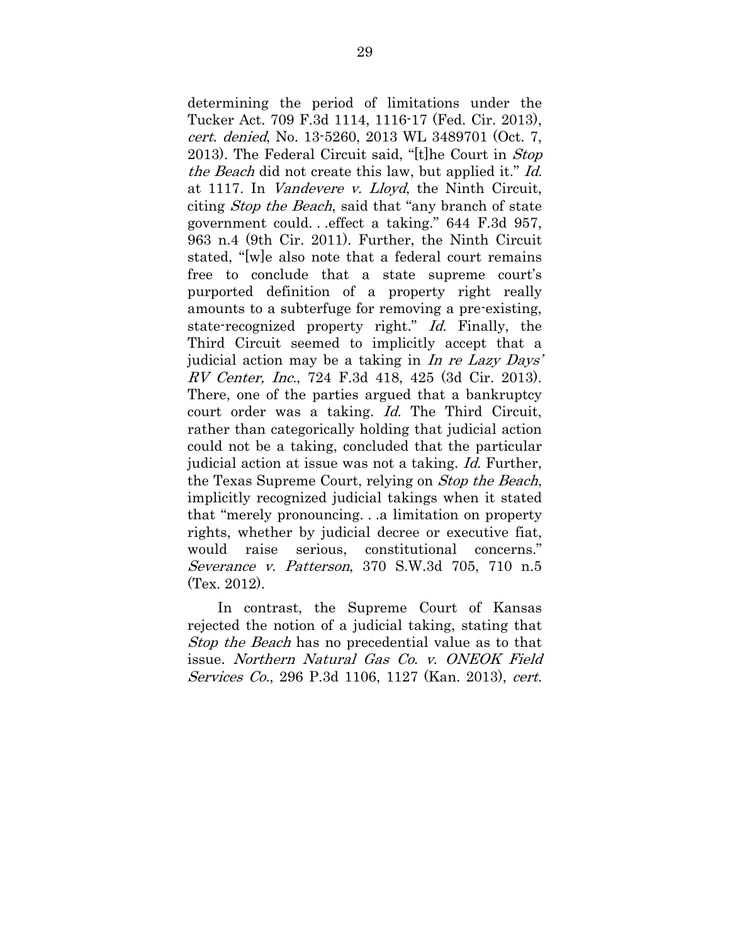determining the period of limitations under the Tucker Act. 709 F.3d 1114, 1116-17 (Fed. Cir. 2013), cert. denied, No. 13-5260, 2013 WL 3489701 (Oct. 7, 2013). The Federal Circuit said, "[t]he Court in Stop the Beach did not create this law, but applied it." Id. at 1117. In Vandevere v. Lloyd, the Ninth Circuit, citing Stop the Beach, said that "any branch of state government could. . .effect a taking." 644 F.3d 957, 963 n.4 (9th Cir. 2011). Further, the Ninth Circuit stated, "[w]e also note that a federal court remains free to conclude that a state supreme court's purported definition of a property right really amounts to a subterfuge for removing a pre-existing, state-recognized property right." Id. Finally, the Third Circuit seemed to implicitly accept that a judicial action may be a taking in In re Lazy Days' RV Center, Inc., 724 F.3d 418, 425 (3d Cir. 2013). There, one of the parties argued that a bankruptcy court order was a taking. Id. The Third Circuit, rather than categorically holding that judicial action could not be a taking, concluded that the particular judicial action at issue was not a taking. Id. Further, the Texas Supreme Court, relying on Stop the Beach, implicitly recognized judicial takings when it stated that "merely pronouncing. . .a limitation on property rights, whether by judicial decree or executive fiat, would raise serious, constitutional concerns." Severance v. Patterson, 370 S.W.3d 705, 710 n.5 (Tex. 2012).

In contrast, the Supreme Court of Kansas rejected the notion of a judicial taking, stating that *Stop the Beach* has no precedential value as to that issue. Northern Natural Gas Co. v. ONEOK Field Services Co., 296 P.3d 1106, 1127 (Kan. 2013), cert.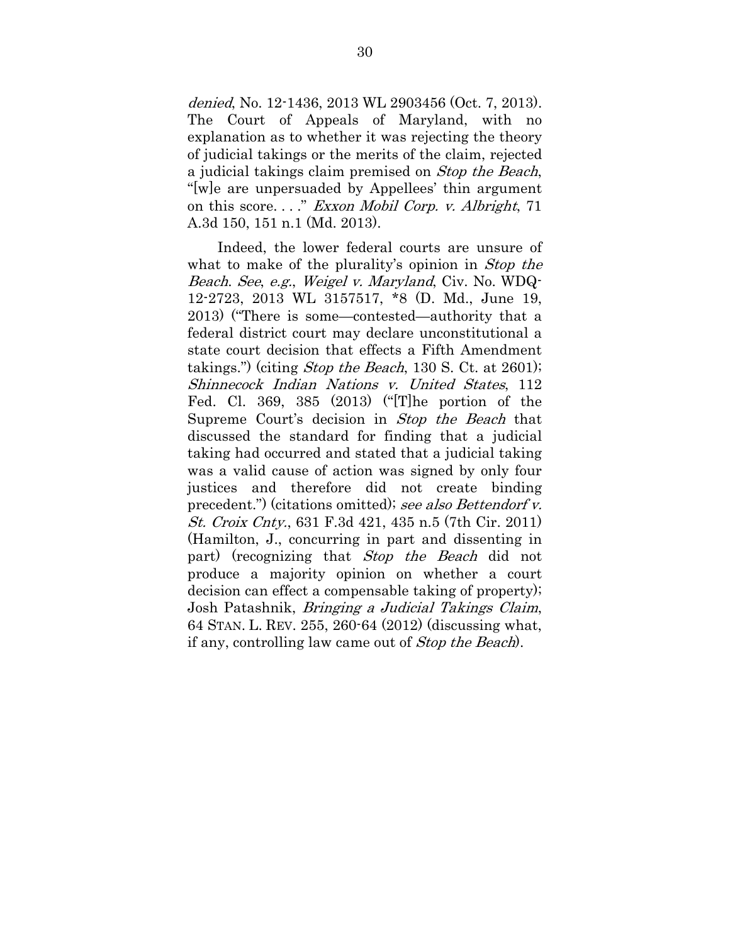denied, No. 12-1436, 2013 WL 2903456 (Oct. 7, 2013). The Court of Appeals of Maryland, with no explanation as to whether it was rejecting the theory of judicial takings or the merits of the claim, rejected a judicial takings claim premised on Stop the Beach, "[w]e are unpersuaded by Appellees' thin argument on this score. . . ." Exxon Mobil Corp. v. Albright, 71 A.3d 150, 151 n.1 (Md. 2013).

Indeed, the lower federal courts are unsure of what to make of the plurality's opinion in *Stop the* Beach. See, e.g., Weigel v. Maryland, Civ. No. WDQ-12-2723, 2013 WL 3157517, \*8 (D. Md., June 19, 2013) ("There is some—contested—authority that a federal district court may declare unconstitutional a state court decision that effects a Fifth Amendment takings.") (citing *Stop the Beach*, 130 S. Ct. at 2601); Shinnecock Indian Nations v. United States, 112 Fed. Cl. 369, 385 (2013) ("[T]he portion of the Supreme Court's decision in Stop the Beach that discussed the standard for finding that a judicial taking had occurred and stated that a judicial taking was a valid cause of action was signed by only four justices and therefore did not create binding precedent.") (citations omitted); see also Bettendorf v. St. Croix Cnty., 631 F.3d 421, 435 n.5 (7th Cir. 2011) (Hamilton, J., concurring in part and dissenting in part) (recognizing that Stop the Beach did not produce a majority opinion on whether a court decision can effect a compensable taking of property); Josh Patashnik, Bringing a Judicial Takings Claim, 64 STAN. L. REV. 255, 260-64 (2012) (discussing what, if any, controlling law came out of Stop the Beach).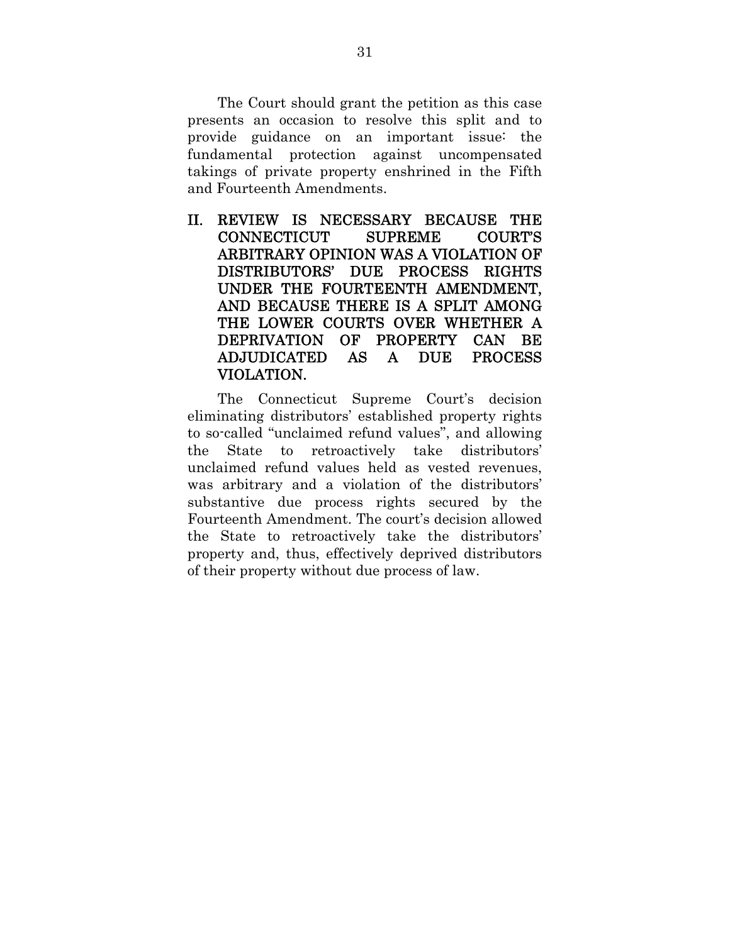The Court should grant the petition as this case presents an occasion to resolve this split and to provide guidance on an important issue: the fundamental protection against uncompensated takings of private property enshrined in the Fifth and Fourteenth Amendments.

II. REVIEW IS NECESSARY BECAUSE THE CONNECTICUT SUPREME COURT'S ARBITRARY OPINION WAS A VIOLATION OF DISTRIBUTORS' DUE PROCESS RIGHTS UNDER THE FOURTEENTH AMENDMENT, AND BECAUSE THERE IS A SPLIT AMONG THE LOWER COURTS OVER WHETHER A DEPRIVATION OF PROPERTY CAN BE ADJUDICATED AS A DUE PROCESS VIOLATION.

The Connecticut Supreme Court's decision eliminating distributors' established property rights to so-called "unclaimed refund values", and allowing the State to retroactively take distributors' unclaimed refund values held as vested revenues, was arbitrary and a violation of the distributors' substantive due process rights secured by the Fourteenth Amendment. The court's decision allowed the State to retroactively take the distributors' property and, thus, effectively deprived distributors of their property without due process of law.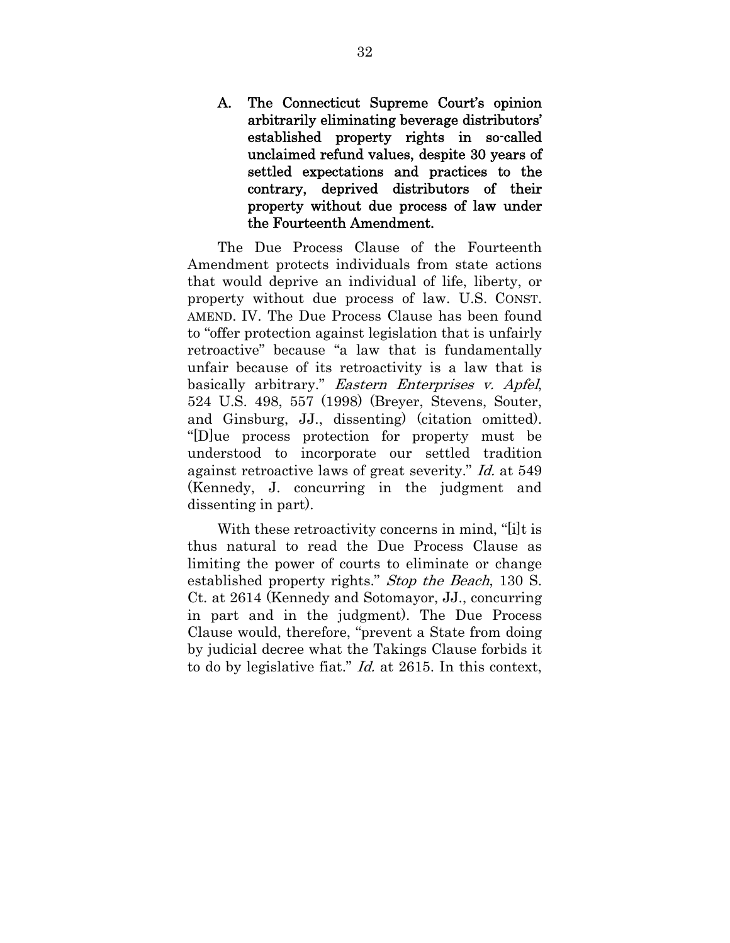A. The Connecticut Supreme Court's opinion arbitrarily eliminating beverage distributors' established property rights in so-called unclaimed refund values, despite 30 years of settled expectations and practices to the contrary, deprived distributors of their property without due process of law under the Fourteenth Amendment.

The Due Process Clause of the Fourteenth Amendment protects individuals from state actions that would deprive an individual of life, liberty, or property without due process of law. U.S. CONST. AMEND. IV. The Due Process Clause has been found to "offer protection against legislation that is unfairly retroactive" because "a law that is fundamentally unfair because of its retroactivity is a law that is basically arbitrary." Eastern Enterprises v. Apfel, 524 U.S. 498, 557 (1998) (Breyer, Stevens, Souter, and Ginsburg, JJ., dissenting) (citation omitted). "[D]ue process protection for property must be understood to incorporate our settled tradition against retroactive laws of great severity." Id. at 549 (Kennedy, J. concurring in the judgment and dissenting in part).

With these retroactivity concerns in mind, "[i]t is thus natural to read the Due Process Clause as limiting the power of courts to eliminate or change established property rights." Stop the Beach, 130 S. Ct. at 2614 (Kennedy and Sotomayor, JJ., concurring in part and in the judgment). The Due Process Clause would, therefore, "prevent a State from doing by judicial decree what the Takings Clause forbids it to do by legislative fiat." Id. at 2615. In this context,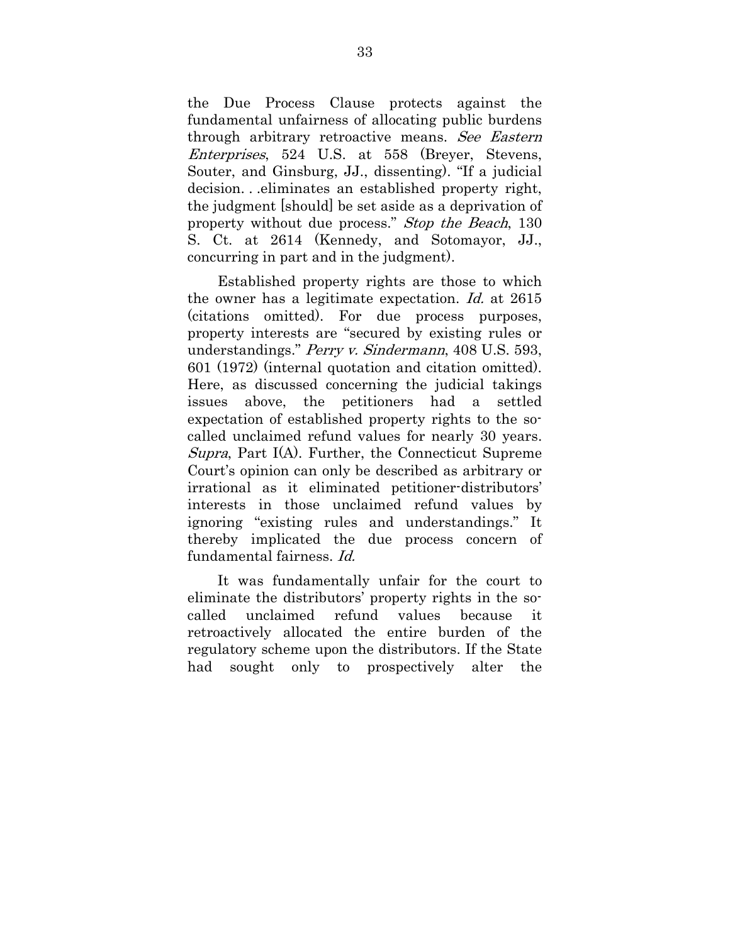the Due Process Clause protects against the fundamental unfairness of allocating public burdens through arbitrary retroactive means. See Eastern Enterprises, 524 U.S. at 558 (Breyer, Stevens, Souter, and Ginsburg, JJ., dissenting). "If a judicial decision. . .eliminates an established property right, the judgment [should] be set aside as a deprivation of property without due process." Stop the Beach, 130 S. Ct. at 2614 (Kennedy, and Sotomayor, JJ., concurring in part and in the judgment).

Established property rights are those to which the owner has a legitimate expectation. Id. at 2615 (citations omitted). For due process purposes, property interests are "secured by existing rules or understandings." Perry v. Sindermann, 408 U.S. 593, 601 (1972) (internal quotation and citation omitted). Here, as discussed concerning the judicial takings issues above, the petitioners had a settled expectation of established property rights to the socalled unclaimed refund values for nearly 30 years. Supra, Part I(A). Further, the Connecticut Supreme Court's opinion can only be described as arbitrary or irrational as it eliminated petitioner-distributors' interests in those unclaimed refund values by ignoring "existing rules and understandings." It thereby implicated the due process concern of fundamental fairness. Id.

It was fundamentally unfair for the court to eliminate the distributors' property rights in the socalled unclaimed refund values because it retroactively allocated the entire burden of the regulatory scheme upon the distributors. If the State had sought only to prospectively alter the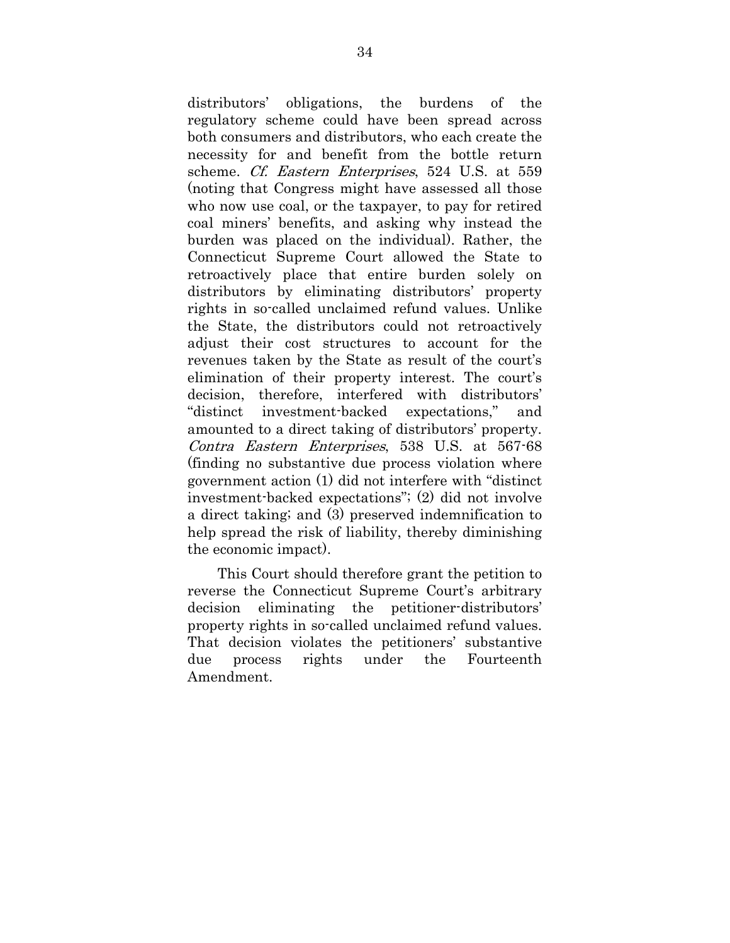distributors' obligations, the burdens of the regulatory scheme could have been spread across both consumers and distributors, who each create the necessity for and benefit from the bottle return scheme. Cf. Eastern Enterprises, 524 U.S. at 559 (noting that Congress might have assessed all those who now use coal, or the taxpayer, to pay for retired coal miners' benefits, and asking why instead the burden was placed on the individual). Rather, the Connecticut Supreme Court allowed the State to retroactively place that entire burden solely on distributors by eliminating distributors' property rights in so-called unclaimed refund values. Unlike the State, the distributors could not retroactively adjust their cost structures to account for the revenues taken by the State as result of the court's elimination of their property interest. The court's decision, therefore, interfered with distributors' "distinct investment-backed expectations," and amounted to a direct taking of distributors' property. Contra Eastern Enterprises, 538 U.S. at 567-68 (finding no substantive due process violation where government action (1) did not interfere with "distinct investment-backed expectations"; (2) did not involve a direct taking; and (3) preserved indemnification to help spread the risk of liability, thereby diminishing the economic impact).

This Court should therefore grant the petition to reverse the Connecticut Supreme Court's arbitrary decision eliminating the petitioner-distributors' property rights in so-called unclaimed refund values. That decision violates the petitioners' substantive due process rights under the Fourteenth Amendment.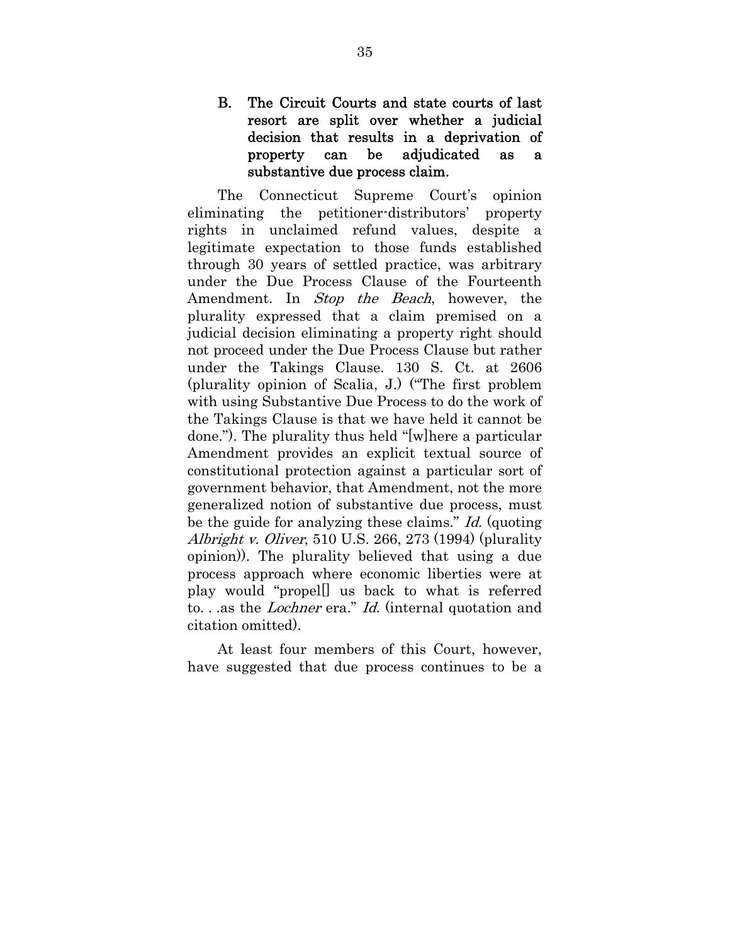## B. The Circuit Courts and state courts of last resort are split over whether a judicial decision that results in a deprivation of property can be adjudicated as a substantive due process claim.

The Connecticut Supreme Court's opinion eliminating the petitioner-distributors' property rights in unclaimed refund values, despite a legitimate expectation to those funds established through 30 years of settled practice, was arbitrary under the Due Process Clause of the Fourteenth Amendment. In *Stop the Beach*, however, the plurality expressed that a claim premised on a judicial decision eliminating a property right should not proceed under the Due Process Clause but rather under the Takings Clause. 130 S. Ct. at 2606 (plurality opinion of Scalia, J.) ("The first problem with using Substantive Due Process to do the work of the Takings Clause is that we have held it cannot be done."). The plurality thus held "[w]here a particular Amendment provides an explicit textual source of constitutional protection against a particular sort of government behavior, that Amendment, not the more generalized notion of substantive due process, must be the guide for analyzing these claims." Id. (quoting Albright v. Oliver, 510 U.S. 266, 273 (1994) (plurality opinion)). The plurality believed that using a due process approach where economic liberties were at play would "propel[] us back to what is referred to. . .as the Lochner era." Id. (internal quotation and citation omitted).

At least four members of this Court, however, have suggested that due process continues to be a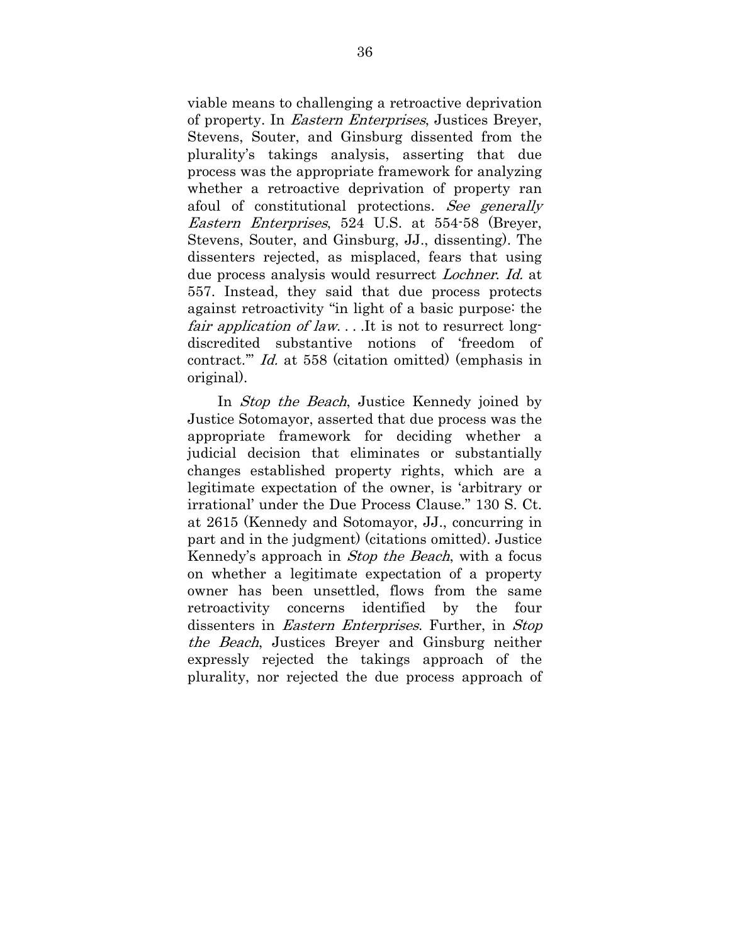viable means to challenging a retroactive deprivation of property. In Eastern Enterprises, Justices Breyer, Stevens, Souter, and Ginsburg dissented from the plurality's takings analysis, asserting that due process was the appropriate framework for analyzing whether a retroactive deprivation of property ran afoul of constitutional protections. See generally Eastern Enterprises, 524 U.S. at 554-58 (Breyer, Stevens, Souter, and Ginsburg, JJ., dissenting). The dissenters rejected, as misplaced, fears that using due process analysis would resurrect Lochner. Id. at 557. Instead, they said that due process protects against retroactivity "in light of a basic purpose: the fair application of law... It is not to resurrect longdiscredited substantive notions of 'freedom of contract.'" Id. at 558 (citation omitted) (emphasis in original).

In *Stop the Beach*, Justice Kennedy joined by Justice Sotomayor, asserted that due process was the appropriate framework for deciding whether a judicial decision that eliminates or substantially changes established property rights, which are a legitimate expectation of the owner, is 'arbitrary or irrational' under the Due Process Clause." 130 S. Ct. at 2615 (Kennedy and Sotomayor, JJ., concurring in part and in the judgment) (citations omitted). Justice Kennedy's approach in Stop the Beach, with a focus on whether a legitimate expectation of a property owner has been unsettled, flows from the same retroactivity concerns identified by the four dissenters in *Eastern Enterprises*. Further, in *Stop* the Beach, Justices Breyer and Ginsburg neither expressly rejected the takings approach of the plurality, nor rejected the due process approach of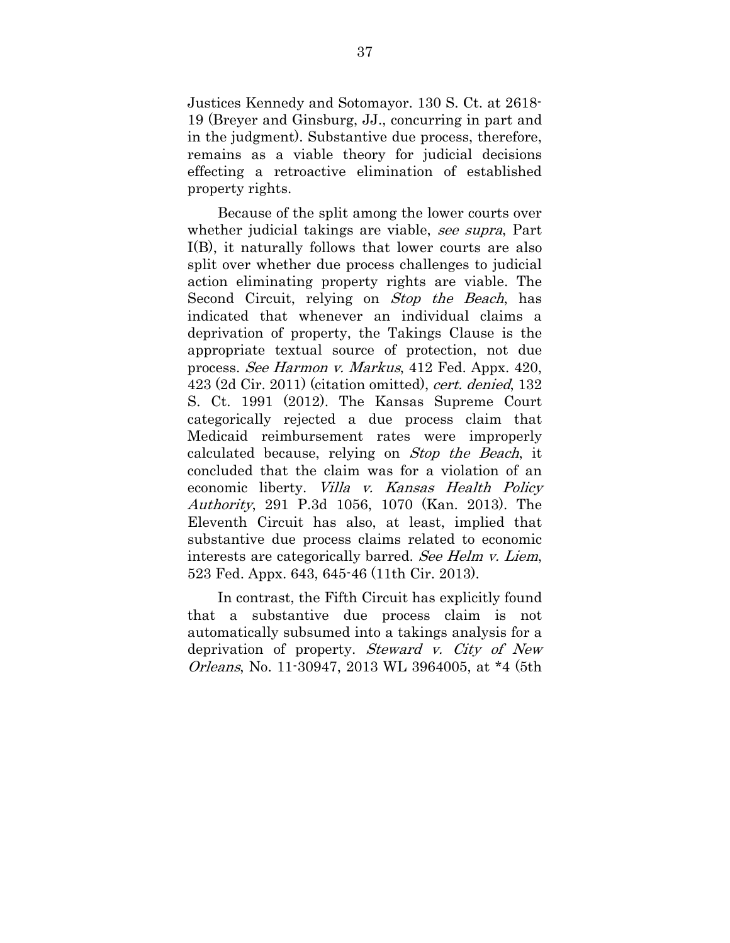Justices Kennedy and Sotomayor. 130 S. Ct. at 2618- 19 (Breyer and Ginsburg, JJ., concurring in part and in the judgment). Substantive due process, therefore, remains as a viable theory for judicial decisions effecting a retroactive elimination of established property rights.

Because of the split among the lower courts over whether judicial takings are viable, see supra, Part I(B), it naturally follows that lower courts are also split over whether due process challenges to judicial action eliminating property rights are viable. The Second Circuit, relying on *Stop the Beach*, has indicated that whenever an individual claims a deprivation of property, the Takings Clause is the appropriate textual source of protection, not due process. See Harmon v. Markus, 412 Fed. Appx. 420,  $423$  (2d Cir. 2011) (citation omitted), *cert. denied*, 132 S. Ct. 1991 (2012). The Kansas Supreme Court categorically rejected a due process claim that Medicaid reimbursement rates were improperly calculated because, relying on Stop the Beach, it concluded that the claim was for a violation of an economic liberty. Villa v. Kansas Health Policy Authority, 291 P.3d 1056, 1070 (Kan. 2013). The Eleventh Circuit has also, at least, implied that substantive due process claims related to economic interests are categorically barred. See Helm v. Liem, 523 Fed. Appx. 643, 645-46 (11th Cir. 2013).

In contrast, the Fifth Circuit has explicitly found that a substantive due process claim is not automatically subsumed into a takings analysis for a deprivation of property. Steward v. City of New Orleans, No. 11-30947, 2013 WL 3964005, at \*4 (5th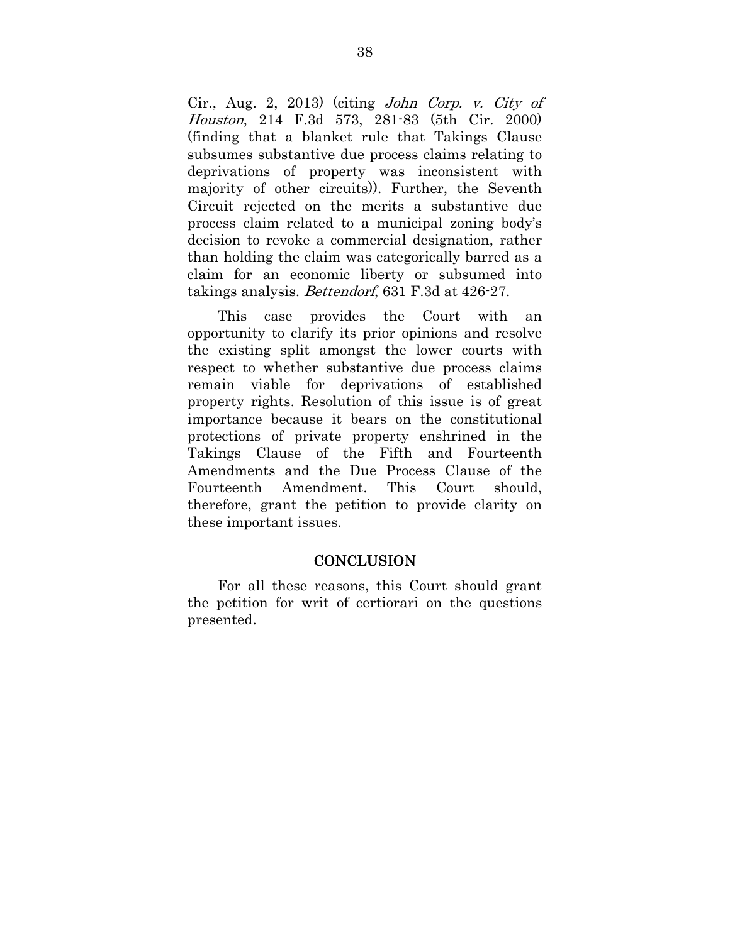Cir., Aug. 2, 2013) (citing John Corp. v. City of Houston, 214 F.3d 573, 281-83 (5th Cir. 2000) (finding that a blanket rule that Takings Clause subsumes substantive due process claims relating to deprivations of property was inconsistent with majority of other circuits)). Further, the Seventh Circuit rejected on the merits a substantive due process claim related to a municipal zoning body's decision to revoke a commercial designation, rather than holding the claim was categorically barred as a claim for an economic liberty or subsumed into takings analysis. Bettendorf, 631 F.3d at 426-27.

This case provides the Court with an opportunity to clarify its prior opinions and resolve the existing split amongst the lower courts with respect to whether substantive due process claims remain viable for deprivations of established property rights. Resolution of this issue is of great importance because it bears on the constitutional protections of private property enshrined in the Takings Clause of the Fifth and Fourteenth Amendments and the Due Process Clause of the Fourteenth Amendment. This Court should, therefore, grant the petition to provide clarity on these important issues.

#### **CONCLUSION**

For all these reasons, this Court should grant the petition for writ of certiorari on the questions presented.